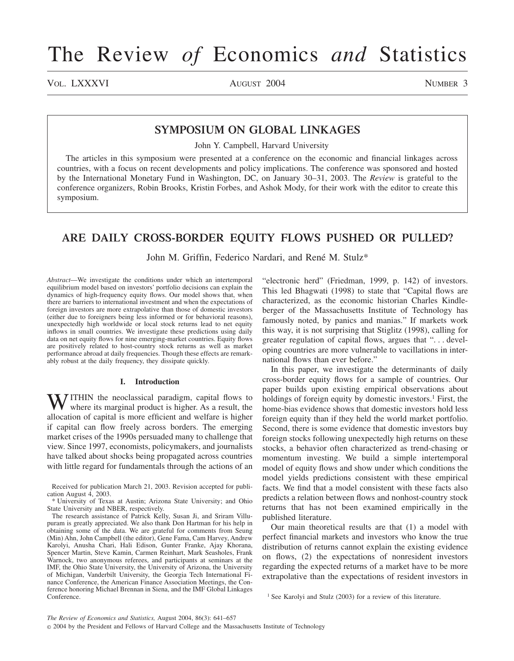# The Review *of* Economics *and* Statistics

VOL. LXXXVI AUGUST 2004 NUMBER 3

# **SYMPOSIUM ON GLOBAL LINKAGES**

John Y. Campbell, Harvard University

The articles in this symposium were presented at a conference on the economic and financial linkages across countries, with a focus on recent developments and policy implications. The conference was sponsored and hosted by the International Monetary Fund in Washington, DC, on January 30–31, 2003. The *Review* is grateful to the conference organizers, Robin Brooks, Kristin Forbes, and Ashok Mody, for their work with the editor to create this symposium.

# **ARE DAILY CROSS-BORDER EQUITY FLOWS PUSHED OR PULLED?**

John M. Griffin, Federico Nardari, and René M. Stulz\*

*Abstract*—We investigate the conditions under which an intertemporal equilibrium model based on investors' portfolio decisions can explain the dynamics of high-frequency equity flows. Our model shows that, when there are barriers to international investment and when the expectations of foreign investors are more extrapolative than those of domestic investors (either due to foreigners being less informed or for behavioral reasons), unexpectedly high worldwide or local stock returns lead to net equity inflows in small countries. We investigate these predictions using daily data on net equity flows for nine emerging-market countries. Equity flows are positively related to host-country stock returns as well as market performance abroad at daily frequencies. Though these effects are remarkably robust at the daily frequency, they dissipate quickly.

# **I. Introduction**

WITHIN the neoclassical paradigm, capital flows to where its marginal product is higher. As a result, the allocation of capital is more efficient and welfare is higher if capital can flow freely across borders. The emerging market crises of the 1990s persuaded many to challenge that view. Since 1997, economists, policymakers, and journalists have talked about shocks being propagated across countries with little regard for fundamentals through the actions of an

Received for publication March 21, 2003. Revision accepted for publication August  $\overline{4}$ , 2003.

\* University of Texas at Austin; Arizona State University; and Ohio State University and NBER, respectively.

The research assistance of Patrick Kelly, Susan Ji, and Sriram Villupuram is greatly appreciated. We also thank Don Hartman for his help in obtaining some of the data. We are grateful for comments from Seung (Min) Ahn, John Campbell (the editor), Gene Fama, Cam Harvey, Andrew Karolyi, Anusha Chari, Hali Edison, Gunter Franke, Ajay Khorana, Spencer Martin, Steve Kamin, Carmen Reinhart, Mark Seasholes, Frank Warnock, two anonymous referees, and participants at seminars at the IMF, the Ohio State University, the University of Arizona, the University of Michigan, Vanderbilt University, the Georgia Tech International Finance Conference, the American Finance Association Meetings, the Conference honoring Michael Brennan in Siena, and the IMF Global Linkages Conference. 1 See Karolyi and Stulz (2003) for a review of this literature.

"electronic herd" (Friedman, 1999, p. 142) of investors. This led Bhagwati (1998) to state that "Capital flows are characterized, as the economic historian Charles Kindleberger of the Massachusetts Institute of Technology has famously noted, by panics and manias." If markets work this way, it is not surprising that Stiglitz (1998), calling for greater regulation of capital flows, argues that ". . . developing countries are more vulnerable to vacillations in international flows than ever before."

In this paper, we investigate the determinants of daily cross-border equity flows for a sample of countries. Our paper builds upon existing empirical observations about holdings of foreign equity by domestic investors.<sup>1</sup> First, the home-bias evidence shows that domestic investors hold less foreign equity than if they held the world market portfolio. Second, there is some evidence that domestic investors buy foreign stocks following unexpectedly high returns on these stocks, a behavior often characterized as trend-chasing or momentum investing. We build a simple intertemporal model of equity flows and show under which conditions the model yields predictions consistent with these empirical facts. We find that a model consistent with these facts also predicts a relation between flows and nonhost-country stock returns that has not been examined empirically in the published literature.

Our main theoretical results are that (1) a model with perfect financial markets and investors who know the true distribution of returns cannot explain the existing evidence on flows, (2) the expectations of nonresident investors regarding the expected returns of a market have to be more extrapolative than the expectations of resident investors in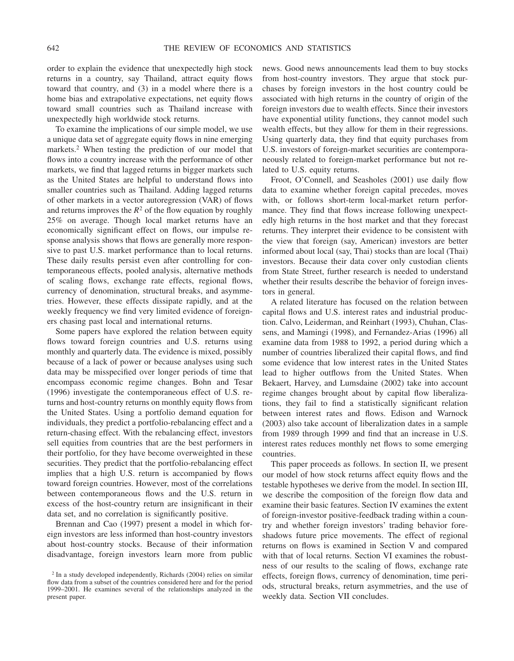order to explain the evidence that unexpectedly high stock returns in a country, say Thailand, attract equity flows toward that country, and (3) in a model where there is a home bias and extrapolative expectations, net equity flows toward small countries such as Thailand increase with unexpectedly high worldwide stock returns.

To examine the implications of our simple model, we use a unique data set of aggregate equity flows in nine emerging markets.<sup>2</sup> When testing the prediction of our model that flows into a country increase with the performance of other markets, we find that lagged returns in bigger markets such as the United States are helpful to understand flows into smaller countries such as Thailand. Adding lagged returns of other markets in a vector autoregression (VAR) of flows and returns improves the  $R^2$  of the flow equation by roughly 25% on average. Though local market returns have an economically significant effect on flows, our impulse response analysis shows that flows are generally more responsive to past U.S. market performance than to local returns. These daily results persist even after controlling for contemporaneous effects, pooled analysis, alternative methods of scaling flows, exchange rate effects, regional flows, currency of denomination, structural breaks, and asymmetries. However, these effects dissipate rapidly, and at the weekly frequency we find very limited evidence of foreigners chasing past local and international returns.

Some papers have explored the relation between equity flows toward foreign countries and U.S. returns using monthly and quarterly data. The evidence is mixed, possibly because of a lack of power or because analyses using such data may be misspecified over longer periods of time that encompass economic regime changes. Bohn and Tesar (1996) investigate the contemporaneous effect of U.S. returns and host-country returns on monthly equity flows from the United States. Using a portfolio demand equation for individuals, they predict a portfolio-rebalancing effect and a return-chasing effect. With the rebalancing effect, investors sell equities from countries that are the best performers in their portfolio, for they have become overweighted in these securities. They predict that the portfolio-rebalancing effect implies that a high U.S. return is accompanied by flows toward foreign countries. However, most of the correlations between contemporaneous flows and the U.S. return in excess of the host-country return are insignificant in their data set, and no correlation is significantly positive.

Brennan and Cao (1997) present a model in which foreign investors are less informed than host-country investors about host-country stocks. Because of their information disadvantage, foreign investors learn more from public news. Good news announcements lead them to buy stocks from host-country investors. They argue that stock purchases by foreign investors in the host country could be associated with high returns in the country of origin of the foreign investors due to wealth effects. Since their investors have exponential utility functions, they cannot model such wealth effects, but they allow for them in their regressions. Using quarterly data, they find that equity purchases from U.S. investors of foreign-market securities are contemporaneously related to foreign-market performance but not related to U.S. equity returns.

Froot, O'Connell, and Seasholes (2001) use daily flow data to examine whether foreign capital precedes, moves with, or follows short-term local-market return performance. They find that flows increase following unexpectedly high returns in the host market and that they forecast returns. They interpret their evidence to be consistent with the view that foreign (say, American) investors are better informed about local (say, Thai) stocks than are local (Thai) investors. Because their data cover only custodian clients from State Street, further research is needed to understand whether their results describe the behavior of foreign investors in general.

A related literature has focused on the relation between capital flows and U.S. interest rates and industrial production. Calvo, Leiderman, and Reinhart (1993), Chuhan, Classens, and Mamingi (1998), and Fernandez-Arias (1996) all examine data from 1988 to 1992, a period during which a number of countries liberalized their capital flows, and find some evidence that low interest rates in the United States lead to higher outflows from the United States. When Bekaert, Harvey, and Lumsdaine (2002) take into account regime changes brought about by capital flow liberalizations, they fail to find a statistically significant relation between interest rates and flows. Edison and Warnock (2003) also take account of liberalization dates in a sample from 1989 through 1999 and find that an increase in U.S. interest rates reduces monthly net flows to some emerging countries.

This paper proceeds as follows. In section II, we present our model of how stock returns affect equity flows and the testable hypotheses we derive from the model. In section III, we describe the composition of the foreign flow data and examine their basic features. Section IV examines the extent of foreign-investor positive-feedback trading within a country and whether foreign investors' trading behavior foreshadows future price movements. The effect of regional returns on flows is examined in Section V and compared with that of local returns. Section VI examines the robustness of our results to the scaling of flows, exchange rate effects, foreign flows, currency of denomination, time periods, structural breaks, return asymmetries, and the use of weekly data. Section VII concludes.

<sup>2</sup> In a study developed independently, Richards (2004) relies on similar flow data from a subset of the countries considered here and for the period 1999–2001. He examines several of the relationships analyzed in the present paper.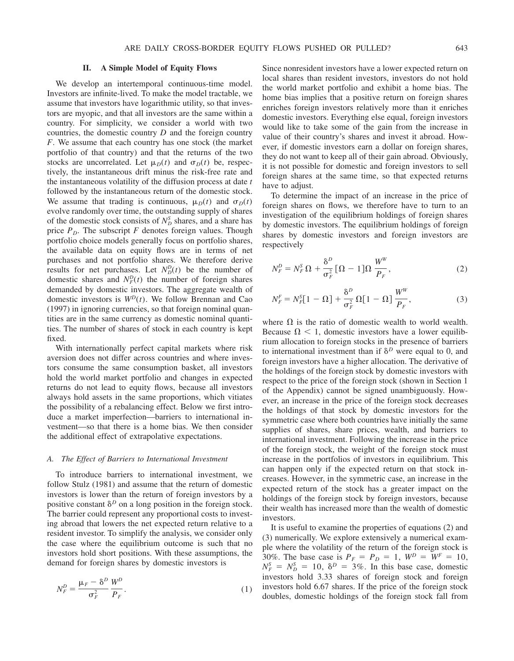# **II. A Simple Model of Equity Flows**

We develop an intertemporal continuous-time model. Investors are infinite-lived. To make the model tractable, we assume that investors have logarithmic utility, so that investors are myopic, and that all investors are the same within a country. For simplicity, we consider a world with two countries, the domestic country *D* and the foreign country *F*. We assume that each country has one stock (the market portfolio of that country) and that the returns of the two stocks are uncorrelated. Let  $\mu_D(t)$  and  $\sigma_D(t)$  be, respectively, the instantaneous drift minus the risk-free rate and the instantaneous volatility of the diffusion process at date *t* followed by the instantaneous return of the domestic stock. We assume that trading is continuous,  $\mu_D(t)$  and  $\sigma_D(t)$ evolve randomly over time, the outstanding supply of shares of the domestic stock consists of  $N_D^S$  shares, and a share has price  $P_D$ . The subscript *F* denotes foreign values. Though portfolio choice models generally focus on portfolio shares, the available data on equity flows are in terms of net purchases and not portfolio shares. We therefore derive results for net purchases. Let  $N_D^D(t)$  be the number of domestic shares and  $N_F^D(t)$  the number of foreign shares demanded by domestic investors. The aggregate wealth of domestic investors is  $W^{D}(t)$ . We follow Brennan and Cao (1997) in ignoring currencies, so that foreign nominal quantities are in the same currency as domestic nominal quantities. The number of shares of stock in each country is kept fixed.

With internationally perfect capital markets where risk aversion does not differ across countries and where investors consume the same consumption basket, all investors hold the world market portfolio and changes in expected returns do not lead to equity flows, because all investors always hold assets in the same proportions, which vitiates the possibility of a rebalancing effect. Below we first introduce a market imperfection—barriers to international investment—so that there is a home bias. We then consider the additional effect of extrapolative expectations.

# *A. The Effect of Barriers to International Investment*

To introduce barriers to international investment, we follow Stulz (1981) and assume that the return of domestic investors is lower than the return of foreign investors by a positive constant  $\delta^D$  on a long position in the foreign stock. The barrier could represent any proportional costs to investing abroad that lowers the net expected return relative to a resident investor. To simplify the analysis, we consider only the case where the equilibrium outcome is such that no investors hold short positions. With these assumptions, the demand for foreign shares by domestic investors is

$$
N_F^D = \frac{\mu_F - \delta^D}{\sigma_F^2} \frac{W^D}{P_F}.
$$
\n(1)

Since nonresident investors have a lower expected return on local shares than resident investors, investors do not hold the world market portfolio and exhibit a home bias. The home bias implies that a positive return on foreign shares enriches foreign investors relatively more than it enriches domestic investors. Everything else equal, foreign investors would like to take some of the gain from the increase in value of their country's shares and invest it abroad. However, if domestic investors earn a dollar on foreign shares, they do not want to keep all of their gain abroad. Obviously, it is not possible for domestic and foreign investors to sell foreign shares at the same time, so that expected returns have to adjust.

To determine the impact of an increase in the price of foreign shares on flows, we therefore have to turn to an investigation of the equilibrium holdings of foreign shares by domestic investors. The equilibrium holdings of foreign shares by domestic investors and foreign investors are respectively

$$
N_F^D = N_F^S \Omega + \frac{\delta^D}{\sigma_F^2} \left[ \Omega - 1 \right] \Omega \frac{W^W}{P_F},\tag{2}
$$

$$
N_F^F = N_F^S[1 - \Omega] + \frac{\delta^D}{\sigma_F^2} \Omega[1 - \Omega] \frac{W^W}{P_F},\tag{3}
$$

where  $\Omega$  is the ratio of domestic wealth to world wealth. Because  $\Omega$  < 1, domestic investors have a lower equilibrium allocation to foreign stocks in the presence of barriers to international investment than if  $\delta^D$  were equal to 0, and foreign investors have a higher allocation. The derivative of the holdings of the foreign stock by domestic investors with respect to the price of the foreign stock (shown in Section 1 of the Appendix) cannot be signed unambiguously. However, an increase in the price of the foreign stock decreases the holdings of that stock by domestic investors for the symmetric case where both countries have initially the same supplies of shares, share prices, wealth, and barriers to international investment. Following the increase in the price of the foreign stock, the weight of the foreign stock must increase in the portfolios of investors in equilibrium. This can happen only if the expected return on that stock increases. However, in the symmetric case, an increase in the expected return of the stock has a greater impact on the holdings of the foreign stock by foreign investors, because their wealth has increased more than the wealth of domestic investors.

It is useful to examine the properties of equations (2) and (3) numerically. We explore extensively a numerical example where the volatility of the return of the foreign stock is 30%. The base case is  $P_F = P_D = 1$ ,  $W^D = W^F = 10$ ,  $N_F^S = N_D^S = 10$ ,  $\delta^D = 3\%$ . In this base case, domestic investors hold 3.33 shares of foreign stock and foreign investors hold 6.67 shares. If the price of the foreign stock doubles, domestic holdings of the foreign stock fall from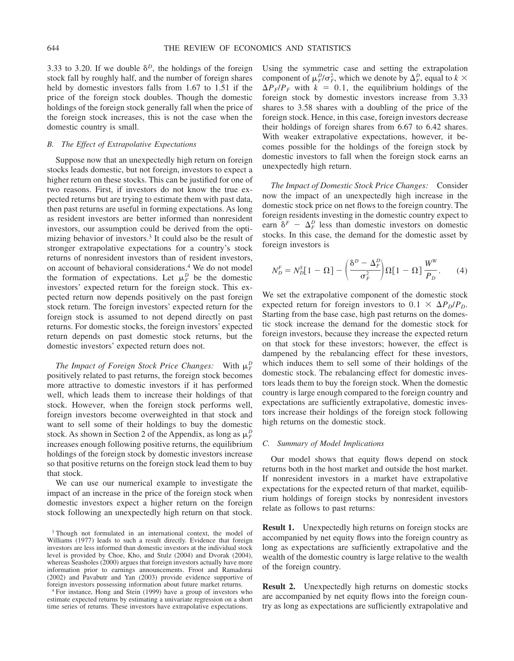3.33 to 3.20. If we double  $\delta^D$ , the holdings of the foreign stock fall by roughly half, and the number of foreign shares held by domestic investors falls from 1.67 to 1.51 if the price of the foreign stock doubles. Though the domestic holdings of the foreign stock generally fall when the price of the foreign stock increases, this is not the case when the domestic country is small.

# *B. The Effect of Extrapolative Expectations*

Suppose now that an unexpectedly high return on foreign stocks leads domestic, but not foreign, investors to expect a higher return on these stocks. This can be justified for one of two reasons. First, if investors do not know the true expected returns but are trying to estimate them with past data, then past returns are useful in forming expectations. As long as resident investors are better informed than nonresident investors, our assumption could be derived from the optimizing behavior of investors.3 It could also be the result of stronger extrapolative expectations for a country's stock returns of nonresident investors than of resident investors, on account of behavioral considerations.4 We do not model the formation of expectations. Let  $\mu_F^D$  be the domestic investors' expected return for the foreign stock. This expected return now depends positively on the past foreign stock return. The foreign investors' expected return for the foreign stock is assumed to not depend directly on past returns. For domestic stocks, the foreign investors' expected return depends on past domestic stock returns, but the domestic investors' expected return does not.

*The Impact of Foreign Stock Price Changes:* With  $\mu_F^D$ positively related to past returns, the foreign stock becomes more attractive to domestic investors if it has performed well, which leads them to increase their holdings of that stock. However, when the foreign stock performs well, foreign investors become overweighted in that stock and want to sell some of their holdings to buy the domestic stock. As shown in Section 2 of the Appendix, as long as  $\mu_F^D$ increases enough following positive returns, the equilibrium holdings of the foreign stock by domestic investors increase so that positive returns on the foreign stock lead them to buy that stock.

We can use our numerical example to investigate the impact of an increase in the price of the foreign stock when domestic investors expect a higher return on the foreign stock following an unexpectedly high return on that stock.

Using the symmetric case and setting the extrapolation component of  $\mu_F^D / \sigma_F^2$ , which we denote by  $\Delta_F^D$ , equal to  $k \times$  $\Delta P_F/P_F$  with  $k = 0.1$ , the equilibrium holdings of the foreign stock by domestic investors increase from 3.33 shares to 3.58 shares with a doubling of the price of the foreign stock. Hence, in this case, foreign investors decrease their holdings of foreign shares from 6.67 to 6.42 shares. With weaker extrapolative expectations, however, it becomes possible for the holdings of the foreign stock by domestic investors to fall when the foreign stock earns an unexpectedly high return.

*The Impact of Domestic Stock Price Changes:* Consider now the impact of an unexpectedly high increase in the domestic stock price on net flows to the foreign country. The foreign residents investing in the domestic country expect to earn  $\delta^F - \Delta^D_F$  less than domestic investors on domestic stocks. In this case, the demand for the domestic asset by foreign investors is

$$
N_D^F = N_D^S[1 - \Omega] - \left(\frac{\delta^D - \Delta_F^D}{\sigma_F^2}\right) \Omega[1 - \Omega] \frac{W^W}{P_D}.
$$
 (4)

We set the extrapolative component of the domestic stock expected return for foreign investors to  $0.1 \times \Delta P_D/P_D$ . Starting from the base case, high past returns on the domestic stock increase the demand for the domestic stock for foreign investors, because they increase the expected return on that stock for these investors; however, the effect is dampened by the rebalancing effect for these investors, which induces them to sell some of their holdings of the domestic stock. The rebalancing effect for domestic investors leads them to buy the foreign stock. When the domestic country is large enough compared to the foreign country and expectations are sufficiently extrapolative, domestic investors increase their holdings of the foreign stock following high returns on the domestic stock.

# *C. Summary of Model Implications*

Our model shows that equity flows depend on stock returns both in the host market and outside the host market. If nonresident investors in a market have extrapolative expectations for the expected return of that market, equilibrium holdings of foreign stocks by nonresident investors relate as follows to past returns:

**Result 1.** Unexpectedly high returns on foreign stocks are accompanied by net equity flows into the foreign country as long as expectations are sufficiently extrapolative and the wealth of the domestic country is large relative to the wealth of the foreign country.

**Result 2.** Unexpectedly high returns on domestic stocks are accompanied by net equity flows into the foreign country as long as expectations are sufficiently extrapolative and

<sup>3</sup> Though not formulated in an international context, the model of Williams (1977) leads to such a result directly. Evidence that foreign investors are less informed than domestic investors at the individual stock level is provided by Choe, Kho, and Stulz (2004) and Dvorak (2004), whereas Seasholes (2000) argues that foreign investors actually have more information prior to earnings announcements. Froot and Ramadorai (2002) and Pavabutr and Yan (2003) provide evidence supportive of foreign investors possessing information about future market returns.

<sup>4</sup> For instance, Hong and Stein (1999) have a group of investors who estimate expected returns by estimating a univariate regression on a short time series of returns. These investors have extrapolative expectations.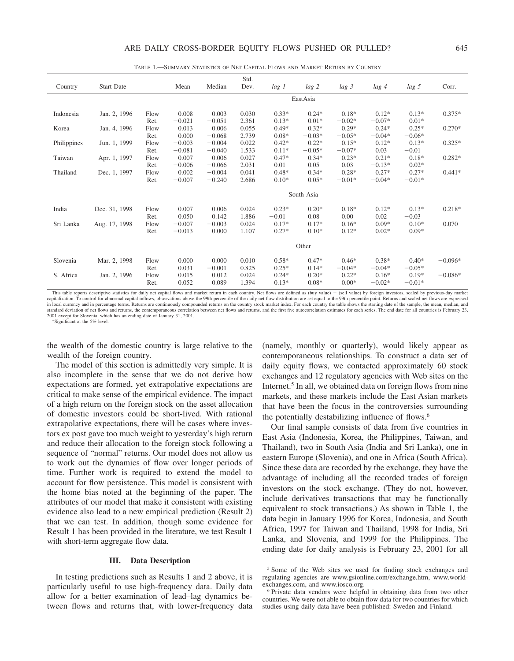|             |                   |                     |                      |                      | Std.           |                    |                     |                     |                     |                     |           |  |
|-------------|-------------------|---------------------|----------------------|----------------------|----------------|--------------------|---------------------|---------------------|---------------------|---------------------|-----------|--|
| Country     | <b>Start Date</b> |                     | Mean                 | Median               | Dev.           | lag 1              | lag 2               | lag <sub>3</sub>    | lag 4               | $lag\ 5$            | Corr.     |  |
|             |                   |                     | EastAsia             |                      |                |                    |                     |                     |                     |                     |           |  |
| Indonesia   | Jan. 2, 1996      | Flow<br>Ret.        | 0.008<br>$-0.021$    | 0.003<br>$-0.051$    | 0.030<br>2.361 | $0.33*$<br>$0.13*$ | $0.24*$<br>$0.01*$  | $0.18*$<br>$-0.02*$ | $0.12*$<br>$-0.07*$ | $0.13*$<br>$0.01*$  | $0.375*$  |  |
| Korea       | Jan. 4, 1996      | Flow<br>Ret.        | 0.013<br>0.000       | 0.006<br>$-0.068$    | 0.055<br>2.739 | $0.49*$<br>$0.08*$ | $0.32*$<br>$-0.03*$ | $0.29*$<br>$-0.05*$ | $0.24*$<br>$-0.04*$ | $0.25*$<br>$-0.06*$ | $0.270*$  |  |
| Philippines | Jun. 1, 1999      | Flow<br>Ret.        | $-0.003$<br>$-0.081$ | $-0.004$<br>$-0.040$ | 0.022<br>1.533 | $0.42*$<br>$0.11*$ | $0.22*$<br>$-0.05*$ | $0.15*$<br>$-0.07*$ | $0.12*$<br>0.03     | $0.13*$<br>$-0.01$  | $0.325*$  |  |
| Taiwan      | Apr. 1, 1997      | <b>Flow</b><br>Ret. | 0.007<br>$-0.006$    | 0.006<br>$-0.066$    | 0.027<br>2.031 | $0.47*$<br>0.01    | $0.34*$<br>0.05     | $0.23*$<br>0.03     | $0.21*$<br>$-0.13*$ | $0.18*$<br>$0.02*$  | $0.282*$  |  |
| Thailand    | Dec. 1, 1997      | <b>Flow</b><br>Ret. | 0.002<br>$-0.007$    | $-0.004$<br>$-0.240$ | 0.041<br>2.686 | $0.48*$<br>$0.10*$ | $0.34*$<br>$0.05*$  | $0.28*$<br>$-0.01*$ | $0.27*$<br>$-0.04*$ | $0.27*$<br>$-0.01*$ | $0.441*$  |  |
|             |                   |                     | South Asia           |                      |                |                    |                     |                     |                     |                     |           |  |
| India       | Dec. 31, 1998     | Flow<br>Ret.        | 0.007<br>0.050       | 0.006<br>0.142       | 0.024<br>1.886 | $0.23*$<br>$-0.01$ | $0.20*$<br>0.08     | $0.18*$<br>0.00     | $0.12*$<br>0.02     | $0.13*$<br>$-0.03$  | $0.218*$  |  |
| Sri Lanka   | Aug. 17, 1998     | Flow<br>Ret.        | $-0.007$<br>$-0.013$ | $-0.003$<br>0.000    | 0.024<br>1.107 | $0.17*$<br>$0.27*$ | $0.17*$<br>$0.10*$  | $0.16*$<br>$0.12*$  | $0.09*$<br>$0.02*$  | $0.10*$<br>$0.09*$  | 0.070     |  |
|             |                   |                     | Other                |                      |                |                    |                     |                     |                     |                     |           |  |
| Slovenia    | Mar. 2, 1998      | Flow<br>Ret.        | 0.000<br>0.031       | 0.000<br>$-0.001$    | 0.010<br>0.825 | $0.58*$<br>$0.25*$ | $0.47*$<br>$0.14*$  | $0.46*$<br>$-0.04*$ | $0.38*$<br>$-0.04*$ | $0.40*$<br>$-0.05*$ | $-0.096*$ |  |
| S. Africa   | Jan. 2, 1996      | Flow<br>Ret.        | 0.015<br>0.052       | 0.012<br>0.089       | 0.024<br>1.394 | $0.24*$<br>$0.13*$ | $0.20*$<br>$0.08*$  | $0.22*$<br>$0.00*$  | $0.16*$<br>$-0.02*$ | $0.19*$<br>$-0.01*$ | $-0.086*$ |  |

TABLE 1.—SUMMARY STATISTICS OF NET CAPITAL FLOWS AND MARKET RETURN BY COUNTRY

This table reports descriptive statistics for daily net capital flows and market return in each country. Net flows are defined as (buy value) - (sell value) by foreign investors, scaled by previous-day market capitalization. To control for abnormal capital inflows, observations above the 99th percentile of the daily net flow distribution are set equal to the 99th percentile point. Returns and scaled net flows are expressed in local currency and in percentage terms. Returns are continuously compounded returns on the country stock market index. For each country the table shows the starting date of the sample, the mean, median, and standard deviation of net flows and returns, the contemporaneous correlation between net flows and returns, and the first five autocorrelation estimates for each series. The end date for all countries is February 23, 2001 except for Slovenia, which has an ending date of January 31, 2001.

\*Significant at the 5% level.

the wealth of the domestic country is large relative to the wealth of the foreign country.

The model of this section is admittedly very simple. It is also incomplete in the sense that we do not derive how expectations are formed, yet extrapolative expectations are critical to make sense of the empirical evidence. The impact of a high return on the foreign stock on the asset allocation of domestic investors could be short-lived. With rational extrapolative expectations, there will be cases where investors ex post gave too much weight to yesterday's high return and reduce their allocation to the foreign stock following a sequence of "normal" returns. Our model does not allow us to work out the dynamics of flow over longer periods of time. Further work is required to extend the model to account for flow persistence. This model is consistent with the home bias noted at the beginning of the paper. The attributes of our model that make it consistent with existing evidence also lead to a new empirical prediction (Result 2) that we can test. In addition, though some evidence for Result 1 has been provided in the literature, we test Result 1 with short-term aggregate flow data.

# **III. Data Description**

In testing predictions such as Results 1 and 2 above, it is particularly useful to use high-frequency data. Daily data allow for a better examination of lead–lag dynamics between flows and returns that, with lower-frequency data (namely, monthly or quarterly), would likely appear as contemporaneous relationships. To construct a data set of daily equity flows, we contacted approximately 60 stock exchanges and 12 regulatory agencies with Web sites on the Internet.<sup>5</sup> In all, we obtained data on foreign flows from nine markets, and these markets include the East Asian markets that have been the focus in the controversies surrounding the potentially destabilizing influence of flows.6

Our final sample consists of data from five countries in East Asia (Indonesia, Korea, the Philippines, Taiwan, and Thailand), two in South Asia (India and Sri Lanka), one in eastern Europe (Slovenia), and one in Africa (South Africa). Since these data are recorded by the exchange, they have the advantage of including all the recorded trades of foreign investors on the stock exchange. (They do not, however, include derivatives transactions that may be functionally equivalent to stock transactions.) As shown in Table 1, the data begin in January 1996 for Korea, Indonesia, and South Africa, 1997 for Taiwan and Thailand, 1998 for India, Sri Lanka, and Slovenia, and 1999 for the Philippines. The ending date for daily analysis is February 23, 2001 for all

<sup>5</sup> Some of the Web sites we used for finding stock exchanges and regulating agencies are www.gsionline.com/exchange.htm, www.worldexchanges.com, and www.iosco.org.

<sup>6</sup> Private data vendors were helpful in obtaining data from two other countries. We were not able to obtain flow data for two countries for which studies using daily data have been published: Sweden and Finland.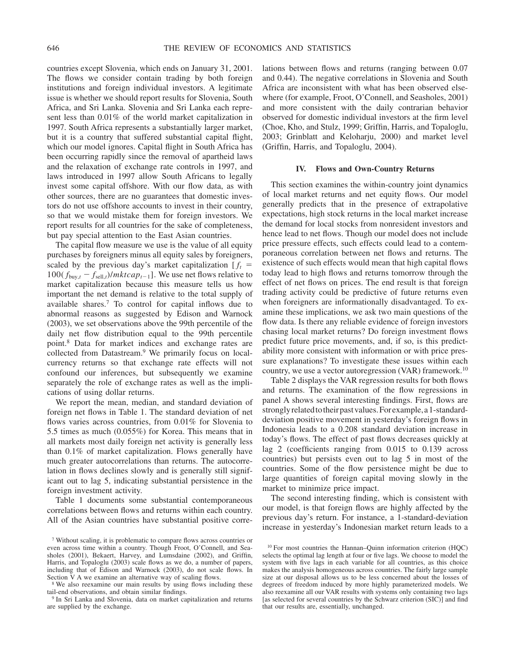countries except Slovenia, which ends on January 31, 2001. The flows we consider contain trading by both foreign institutions and foreign individual investors. A legitimate issue is whether we should report results for Slovenia, South Africa, and Sri Lanka. Slovenia and Sri Lanka each represent less than 0.01% of the world market capitalization in 1997. South Africa represents a substantially larger market, but it is a country that suffered substantial capital flight, which our model ignores. Capital flight in South Africa has been occurring rapidly since the removal of apartheid laws and the relaxation of exchange rate controls in 1997, and laws introduced in 1997 allow South Africans to legally invest some capital offshore. With our flow data, as with other sources, there are no guarantees that domestic investors do not use offshore accounts to invest in their country, so that we would mistake them for foreign investors. We report results for all countries for the sake of completeness, but pay special attention to the East Asian countries.

The capital flow measure we use is the value of all equity purchases by foreigners minus all equity sales by foreigners, scaled by the previous day's market capitalization  $[f_t =$  $100(f_{\text{buy},t} - f_{\text{sell},t})/mktcap_{t-1}$ . We use net flows relative to market capitalization because this measure tells us how important the net demand is relative to the total supply of available shares.7 To control for capital inflows due to abnormal reasons as suggested by Edison and Warnock (2003), we set observations above the 99th percentile of the daily net flow distribution equal to the 99th percentile point.8 Data for market indices and exchange rates are collected from Datastream.9 We primarily focus on localcurrency returns so that exchange rate effects will not confound our inferences, but subsequently we examine separately the role of exchange rates as well as the implications of using dollar returns.

We report the mean, median, and standard deviation of foreign net flows in Table 1. The standard deviation of net flows varies across countries, from 0.01% for Slovenia to 5.5 times as much (0.055%) for Korea. This means that in all markets most daily foreign net activity is generally less than 0.1% of market capitalization. Flows generally have much greater autocorrelations than returns. The autocorrelation in flows declines slowly and is generally still significant out to lag 5, indicating substantial persistence in the foreign investment activity.

Table 1 documents some substantial contemporaneous correlations between flows and returns within each country. All of the Asian countries have substantial positive corre-

<sup>9</sup> In Sri Lanka and Slovenia, data on market capitalization and returns are supplied by the exchange.

lations between flows and returns (ranging between 0.07 and 0.44). The negative correlations in Slovenia and South Africa are inconsistent with what has been observed elsewhere (for example, Froot, O'Connell, and Seasholes, 2001) and more consistent with the daily contrarian behavior observed for domestic individual investors at the firm level (Choe, Kho, and Stulz, 1999; Griffin, Harris, and Topaloglu, 2003; Grinblatt and Keloharju, 2000) and market level (Griffin, Harris, and Topaloglu, 2004).

# **IV. Flows and Own-Country Returns**

This section examines the within-country joint dynamics of local market returns and net equity flows. Our model generally predicts that in the presence of extrapolative expectations, high stock returns in the local market increase the demand for local stocks from nonresident investors and hence lead to net flows. Though our model does not include price pressure effects, such effects could lead to a contemporaneous correlation between net flows and returns. The existence of such effects would mean that high capital flows today lead to high flows and returns tomorrow through the effect of net flows on prices. The end result is that foreign trading activity could be predictive of future returns even when foreigners are informationally disadvantaged. To examine these implications, we ask two main questions of the flow data. Is there any reliable evidence of foreign investors chasing local market returns? Do foreign investment flows predict future price movements, and, if so, is this predictability more consistent with information or with price pressure explanations? To investigate these issues within each country, we use a vector autoregression (VAR) framework.10

Table 2 displays the VAR regression results for both flows and returns. The examination of the flow regressions in panel A shows several interesting findings. First, flows are strongly relatedtotheir past values.Forexample,a 1-standarddeviation positive movement in yesterday's foreign flows in Indonesia leads to a 0.208 standard deviation increase in today's flows. The effect of past flows decreases quickly at lag 2 (coefficients ranging from 0.015 to 0.139 across countries) but persists even out to lag 5 in most of the countries. Some of the flow persistence might be due to large quantities of foreign capital moving slowly in the market to minimize price impact.

The second interesting finding, which is consistent with our model, is that foreign flows are highly affected by the previous day's return. For instance, a 1-standard-deviation increase in yesterday's Indonesian market return leads to a

<sup>7</sup> Without scaling, it is problematic to compare flows across countries or even across time within a country. Though Froot, O'Connell, and Seasholes (2001), Bekaert, Harvey, and Lumsdaine (2002), and Griffin, Harris, and Topaloglu (2003) scale flows as we do, a number of papers, including that of Edison and Warnock (2003), do not scale flows. In Section  $\bar{V}$  A we examine an alternative way of scaling flows.

<sup>&</sup>lt;sup>8</sup> We also reexamine our main results by using flows including these tail-end observations, and obtain similar findings.

<sup>10</sup> For most countries the Hannan–Quinn information criterion (HQC) selects the optimal lag length at four or five lags. We choose to model the system with five lags in each variable for all countries, as this choice makes the analysis homogeneous across countries. The fairly large sample size at our disposal allows us to be less concerned about the losses of degrees of freedom induced by more highly parameterized models. We also reexamine all our VAR results with systems only containing two lags [as selected for several countries by the Schwarz criterion (SIC)] and find that our results are, essentially, unchanged.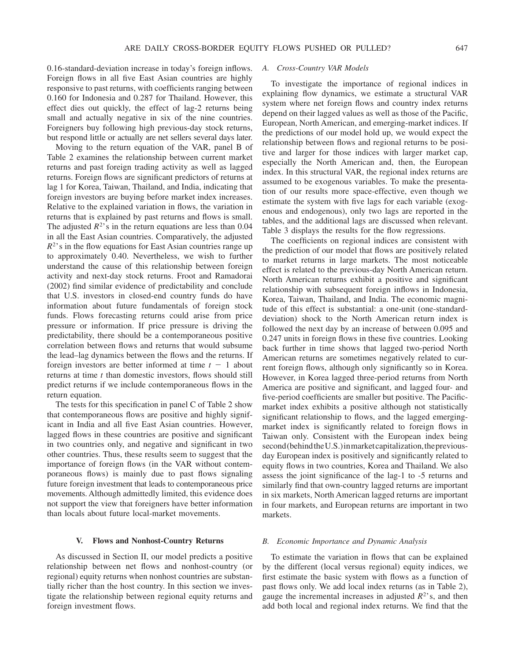0.16-standard-deviation increase in today's foreign inflows. Foreign flows in all five East Asian countries are highly responsive to past returns, with coefficients ranging between 0.160 for Indonesia and 0.287 for Thailand. However, this effect dies out quickly, the effect of lag-2 returns being small and actually negative in six of the nine countries. Foreigners buy following high previous-day stock returns, but respond little or actually are net sellers several days later.

Moving to the return equation of the VAR, panel B of Table 2 examines the relationship between current market returns and past foreign trading activity as well as lagged returns. Foreign flows are significant predictors of returns at lag 1 for Korea, Taiwan, Thailand, and India, indicating that foreign investors are buying before market index increases. Relative to the explained variation in flows, the variation in returns that is explained by past returns and flows is small. The adjusted  $R^2$ 's in the return equations are less than 0.04 in all the East Asian countries. Comparatively, the adjusted *R*<sup>2</sup>'s in the flow equations for East Asian countries range up to approximately 0.40. Nevertheless, we wish to further understand the cause of this relationship between foreign activity and next-day stock returns. Froot and Ramadorai (2002) find similar evidence of predictability and conclude that U.S. investors in closed-end country funds do have information about future fundamentals of foreign stock funds. Flows forecasting returns could arise from price pressure or information. If price pressure is driving the predictability, there should be a contemporaneous positive correlation between flows and returns that would subsume the lead–lag dynamics between the flows and the returns. If foreign investors are better informed at time  $t - 1$  about returns at time *t* than domestic investors, flows should still predict returns if we include contemporaneous flows in the return equation.

The tests for this specification in panel C of Table 2 show that contemporaneous flows are positive and highly significant in India and all five East Asian countries. However, lagged flows in these countries are positive and significant in two countries only, and negative and significant in two other countries. Thus, these results seem to suggest that the importance of foreign flows (in the VAR without contemporaneous flows) is mainly due to past flows signaling future foreign investment that leads to contemporaneous price movements. Although admittedly limited, this evidence does not support the view that foreigners have better information than locals about future local-market movements.

# **V. Flows and Nonhost-Country Returns**

As discussed in Section II, our model predicts a positive relationship between net flows and nonhost-country (or regional) equity returns when nonhost countries are substantially richer than the host country. In this section we investigate the relationship between regional equity returns and foreign investment flows.

# *A. Cross-Country VAR Models*

To investigate the importance of regional indices in explaining flow dynamics, we estimate a structural VAR system where net foreign flows and country index returns depend on their lagged values as well as those of the Pacific, European, North American, and emerging-market indices. If the predictions of our model hold up, we would expect the relationship between flows and regional returns to be positive and larger for those indices with larger market cap, especially the North American and, then, the European index. In this structural VAR, the regional index returns are assumed to be exogenous variables. To make the presentation of our results more space-effective, even though we estimate the system with five lags for each variable (exogenous and endogenous), only two lags are reported in the tables, and the additional lags are discussed when relevant. Table 3 displays the results for the flow regressions.

The coefficients on regional indices are consistent with the prediction of our model that flows are positively related to market returns in large markets. The most noticeable effect is related to the previous-day North American return. North American returns exhibit a positive and significant relationship with subsequent foreign inflows in Indonesia, Korea, Taiwan, Thailand, and India. The economic magnitude of this effect is substantial: a one-unit (one-standarddeviation) shock to the North American return index is followed the next day by an increase of between 0.095 and 0.247 units in foreign flows in these five countries. Looking back further in time shows that lagged two-period North American returns are sometimes negatively related to current foreign flows, although only significantly so in Korea. However, in Korea lagged three-period returns from North America are positive and significant, and lagged four- and five-period coefficients are smaller but positive. The Pacificmarket index exhibits a positive although not statistically significant relationship to flows, and the lagged emergingmarket index is significantly related to foreign flows in Taiwan only. Consistent with the European index being second (behind the U.S.) in market capitalization, the previousday European index is positively and significantly related to equity flows in two countries, Korea and Thailand. We also assess the joint significance of the lag-1 to -5 returns and similarly find that own-country lagged returns are important in six markets, North American lagged returns are important in four markets, and European returns are important in two markets.

# *B. Economic Importance and Dynamic Analysis*

To estimate the variation in flows that can be explained by the different (local versus regional) equity indices, we first estimate the basic system with flows as a function of past flows only. We add local index returns (as in Table 2), gauge the incremental increases in adjusted  $R^2$ 's, and then add both local and regional index returns. We find that the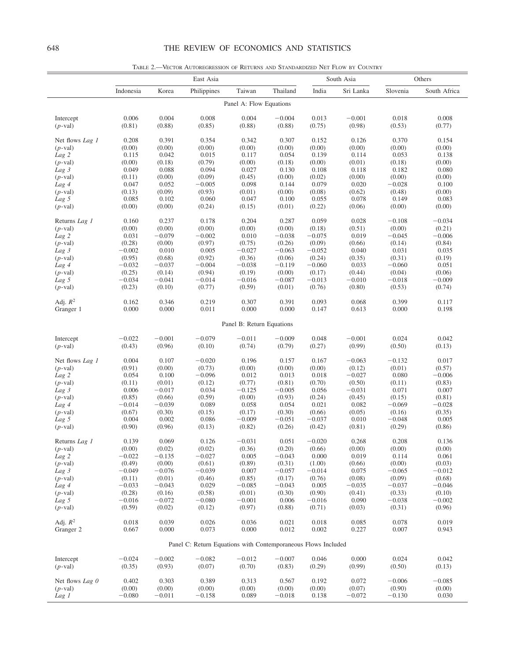|                                |                    | East Asia          |                                                               |                           |                    |                    | South Asia         | Others             |                    |  |
|--------------------------------|--------------------|--------------------|---------------------------------------------------------------|---------------------------|--------------------|--------------------|--------------------|--------------------|--------------------|--|
|                                | Indonesia          | Korea              | Philippines                                                   | Taiwan                    | Thailand           | India              | Sri Lanka          | Slovenia           | South Africa       |  |
|                                |                    |                    |                                                               | Panel A: Flow Equations   |                    |                    |                    |                    |                    |  |
| Intercept                      | 0.006              | 0.004              | 0.008                                                         | 0.004                     | $-0.004$           | 0.013              | $-0.001$           | 0.018              | 0.008              |  |
| $(p$ -val)                     | (0.81)             | (0.88)             | (0.85)                                                        | (0.88)                    | (0.88)             | (0.75)             | (0.98)             | (0.53)             | (0.77)             |  |
| Net flows Lag 1                | 0.208              | 0.391              | 0.354                                                         | 0.342                     | 0.307              | 0.152              | 0.126              | 0.370              | 0.154              |  |
| $(p$ -val)                     | (0.00)             | (0.00)             | (0.00)                                                        | (0.00)                    | (0.00)             | (0.00)             | (0.00)             | (0.00)             | (0.00)             |  |
| Lag 2                          | 0.115              | 0.042              | 0.015                                                         | 0.117                     | 0.054              | 0.139              | 0.114              | 0.053              | 0.138              |  |
| $(p$ -val)                     | (0.00)             | (0.18)             | (0.79)                                                        | (0.00)                    | (0.18)             | (0.00)             | (0.01)             | (0.18)             | (0.00)             |  |
| Lag <sub>3</sub>               | 0.049              | 0.088              | 0.094                                                         | 0.027                     | 0.130              | 0.108              | 0.118              | 0.182              | 0.080              |  |
| $(p$ -val)                     | (0.11)             | (0.00)             | (0.09)                                                        | (0.45)<br>0.098           | (0.00)             | (0.02)<br>0.079    | (0.00)<br>0.020    | (0.00)             | (0.00)             |  |
| Lag 4<br>$(p$ -val)            | 0.047<br>(0.13)    | 0.052<br>(0.09)    | $-0.005$<br>(0.93)                                            | (0.01)                    | 0.144<br>(0.00)    | (0.08)             | (0.62)             | $-0.028$<br>(0.48) | 0.100<br>(0.00)    |  |
| Lag 5                          | 0.085              | 0.102              | 0.060                                                         | 0.047                     | 0.100              | 0.055              | 0.078              | 0.149              | 0.083              |  |
| $(p$ -val)                     | (0.00)             | (0.00)             | (0.24)                                                        | (0.15)                    | (0.01)             | (0.22)             | (0.06)             | (0.00)             | (0.00)             |  |
| Returns <i>Lag</i> 1           | 0.160              | 0.237              | 0.178                                                         | 0.204                     | 0.287              | 0.059              | 0.028              | $-0.108$           | $-0.034$           |  |
| $(p$ -val)                     | (0.00)             | (0.00)             | (0.00)                                                        | (0.00)                    | (0.00)             | (0.18)             | (0.51)             | (0.00)             | (0.21)             |  |
| Lag 2                          | 0.031              | $-0.079$           | $-0.002$                                                      | 0.010                     | $-0.038$           | $-0.075$           | 0.019              | $-0.045$           | $-0.006$           |  |
| $(p$ -val)                     | (0.28)             | (0.00)             | (0.97)                                                        | (0.75)                    | (0.26)             | (0.09)             | (0.66)             | (0.14)             | (0.84)             |  |
| Lag <sub>3</sub>               | $-0.002$           | 0.010              | 0.005                                                         | $-0.027$                  | $-0.063$           | $-0.052$           | 0.040              | 0.031              | 0.035              |  |
| $(p$ -val)                     | (0.95)             | (0.68)             | (0.92)                                                        | (0.36)                    | (0.06)             | (0.24)             | (0.35)             | (0.31)             | (0.19)             |  |
| Lag 4                          | $-0.032$           | $-0.037$           | $-0.004$                                                      | $-0.038$                  | $-0.119$           | $-0.060$           | 0.033              | $-0.060$           | 0.051              |  |
| $(p$ -val)                     | (0.25)             | (0.14)             | (0.94)                                                        | (0.19)                    | (0.00)             | (0.17)             | (0.44)             | (0.04)             | (0.06)             |  |
| Lag 5                          | $-0.034$           | $-0.041$           | $-0.014$                                                      | $-0.016$                  | $-0.087$           | $-0.013$           | $-0.010$           | $-0.018$           | $-0.009$           |  |
| $(p$ -val)                     | (0.23)             | (0.10)             | (0.77)                                                        | (0.59)                    | (0.01)             | (0.76)             | (0.80)             | (0.53)             | (0.74)             |  |
| Adj. $R^2$                     | 0.162              | 0.346              | 0.219                                                         | 0.307                     | 0.391              | 0.093              | 0.068              | 0.399              | 0.117              |  |
| Granger 1                      | 0.000              | 0.000              | 0.011                                                         | 0.000                     | 0.000              | 0.147              | 0.613              | 0.000              | 0.198              |  |
|                                |                    |                    |                                                               | Panel B: Return Equations |                    |                    |                    |                    |                    |  |
| Intercept                      | $-0.022$           | $-0.001$           | $-0.079$                                                      | $-0.011$                  | $-0.009$           | 0.048              | $-0.001$           | 0.024              | 0.042              |  |
| $(p$ -val)                     | (0.43)             | (0.96)             | (0.10)                                                        | (0.74)                    | (0.79)             | (0.27)             | (0.99)             | (0.50)             | (0.13)             |  |
| Net flows Lag 1                | 0.004              | 0.107              | $-0.020$                                                      | 0.196                     | 0.157              | 0.167              | $-0.063$           | $-0.132$           | 0.017              |  |
| $(p$ -val)                     | (0.91)             | (0.00)             | (0.73)                                                        | (0.00)                    | (0.00)             | (0.00)             | (0.12)             | (0.01)             | (0.57)             |  |
| Lag 2                          | 0.054              | 0.100              | $-0.096$                                                      | 0.012                     | 0.013              | 0.018              | $-0.027$           | 0.080              | $-0.006$           |  |
| $(p$ -val)                     | (0.11)             | (0.01)             | (0.12)                                                        | (0.77)                    | (0.81)             | (0.70)             | (0.50)             | (0.11)             | (0.83)             |  |
| Lag <sub>3</sub><br>$(p$ -val) | 0.006<br>(0.85)    | $-0.017$<br>(0.66) | 0.034<br>(0.59)                                               | $-0.125$<br>(0.00)        | $-0.005$<br>(0.93) | 0.056<br>(0.24)    | $-0.031$<br>(0.45) | 0.071<br>(0.15)    | 0.007<br>(0.81)    |  |
| $Lag$ 4                        | $-0.014$           | $-0.039$           | 0.089                                                         | 0.058                     | 0.054              | 0.021              | 0.082              | $-0.069$           | $-0.028$           |  |
| $(p$ -val)                     | (0.67)             | (0.30)             | (0.15)                                                        | (0.17)                    | (0.30)             | (0.66)             | (0.05)             | (0.16)             | (0.35)             |  |
| Lag 5                          | 0.004              | 0.002              | 0.086                                                         | $-0.009$                  | $-0.051$           | $-0.037$           | 0.010              | $-0.048$           | 0.005              |  |
| $(p$ -val)                     | (0.90)             | (0.96)             | (0.13)                                                        | (0.82)                    | (0.26)             | (0.42)             | (0.81)             | (0.29)             | (0.86)             |  |
| Returns Lag 1                  | 0.139              | 0.069              | 0.126                                                         | $-0.031$                  | 0.051              | $-0.020$           | 0.268              | 0.208              | 0.136              |  |
| $(p$ -val)                     | (0.00)             | (0.02)             | (0.02)                                                        | (0.36)                    | (0.20)             | (0.66)             | (0.00)             | (0.00)             | (0.00)             |  |
| Lag 2                          | $-0.022$           | $-0.135$           | $-0.027$                                                      | 0.005                     | $-0.043$           | 0.000              | 0.019              | 0.114              | 0.061              |  |
| $(p$ -val)                     | (0.49)             | (0.00)             | (0.61)                                                        | (0.89)                    | (0.31)             | (1.00)             | (0.66)             | (0.00)             | (0.03)             |  |
| Lag 3                          | $-0.049$           | $-0.076$           | $-0.039$                                                      | 0.007                     | $-0.057$           | $-0.014$           | 0.075              | $-0.065$           | $-0.012$           |  |
| $(p$ -val)                     | (0.11)             | (0.01)             | (0.46)                                                        | (0.85)                    | (0.17)             | (0.76)             | (0.08)             | (0.09)             | (0.68)             |  |
| Lag 4                          | $-0.033$           | $-0.043$           | 0.029                                                         | $-0.085$                  | $-0.043$           | 0.005              | $-0.035$           | $-0.037$           | $-0.046$           |  |
| $(p$ -val)                     | (0.28)             | (0.16)             | (0.58)                                                        | (0.01)                    | (0.30)             | (0.90)             | (0.41)             | (0.33)             | (0.10)             |  |
| Lag 5<br>$(p$ -val)            | $-0.016$<br>(0.59) | $-0.072$<br>(0.02) | $-0.080$<br>(0.12)                                            | $-0.001$<br>(0.97)        | 0.006<br>(0.88)    | $-0.016$<br>(0.71) | 0.090<br>(0.03)    | $-0.038$<br>(0.31) | $-0.002$<br>(0.96) |  |
|                                |                    |                    |                                                               |                           |                    |                    |                    |                    |                    |  |
| Adj. $R^2$<br>Granger 2        | 0.018<br>0.667     | 0.039<br>0.000     | 0.026<br>0.073                                                | 0.036<br>0.000            | 0.021<br>0.012     | 0.018<br>0.002     | 0.085<br>0.227     | 0.078<br>0.007     | 0.019<br>0.943     |  |
|                                |                    |                    | Panel C: Return Equations with Contemporaneous Flows Included |                           |                    |                    |                    |                    |                    |  |
| Intercept                      | $-0.024$           | $-0.002$           | $-0.082$                                                      | $-0.012$                  | $-0.007$           | 0.046              | 0.000              | 0.024              | 0.042              |  |
| $(p$ -val)                     | (0.35)             | (0.93)             | (0.07)                                                        | (0.70)                    | (0.83)             | (0.29)             | (0.99)             | (0.50)             | (0.13)             |  |
| Net flows Lag $0$              | 0.402              | 0.303              | 0.389                                                         | 0.313                     | 0.567              | 0.192              | 0.072              | $-0.006$           | $-0.085$           |  |
| $(p$ -val)                     | (0.00)             | (0.00)             | (0.00)                                                        | (0.00)                    | (0.00)             | (0.00)             | (0.07)             | (0.90)             | (0.00)             |  |
| Lag 1                          | $-0.080$           | $-0.011$           | $-0.158$                                                      | 0.089                     | $-0.018$           | 0.138              | $-0.072$           | $-0.130$           | 0.030              |  |

TABLE 2.—VECTOR AUTOREGRESSION OF RETURNS AND STANDARDIZED NET FLOW BY COUNTRY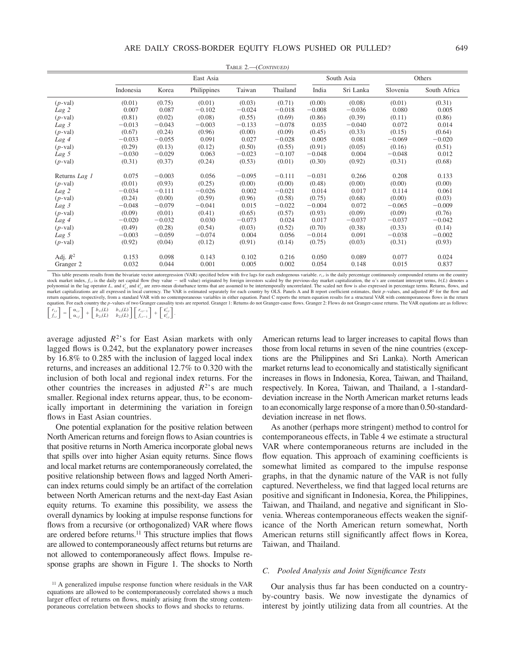| TABLE 2.-(CONTINUED) |           |          |             |          |          |          |            |          |              |  |
|----------------------|-----------|----------|-------------|----------|----------|----------|------------|----------|--------------|--|
|                      |           |          | East Asia   |          |          |          | South Asia | Others   |              |  |
|                      | Indonesia | Korea    | Philippines | Taiwan   | Thailand | India    | Sri Lanka  | Slovenia | South Africa |  |
| $(p$ -val)           | (0.01)    | (0.75)   | (0.01)      | (0.03)   | (0.71)   | (0.00)   | (0.08)     | (0.01)   | (0.31)       |  |
| Lag 2                | 0.007     | 0.087    | $-0.102$    | $-0.024$ | $-0.018$ | $-0.008$ | $-0.036$   | 0.080    | 0.005        |  |
| $(p$ -val)           | (0.81)    | (0.02)   | (0.08)      | (0.55)   | (0.69)   | (0.86)   | (0.39)     | (0.11)   | (0.86)       |  |
| Lag 3                | $-0.013$  | $-0.043$ | $-0.003$    | $-0.133$ | $-0.078$ | 0.035    | $-0.040$   | 0.072    | 0.014        |  |
| $(p$ -val)           | (0.67)    | (0.24)   | (0.96)      | (0.00)   | (0.09)   | (0.45)   | (0.33)     | (0.15)   | (0.64)       |  |
| Lag 4                | $-0.033$  | $-0.055$ | 0.091       | 0.027    | $-0.028$ | 0.005    | 0.081      | $-0.069$ | $-0.020$     |  |
| $(p$ -val)           | (0.29)    | (0.13)   | (0.12)      | (0.50)   | (0.55)   | (0.91)   | (0.05)     | (0.16)   | (0.51)       |  |
| Lag 5                | $-0.030$  | $-0.029$ | 0.063       | $-0.023$ | $-0.107$ | $-0.048$ | 0.004      | $-0.048$ | 0.012        |  |
| $(p$ -val)           | (0.31)    | (0.37)   | (0.24)      | (0.53)   | (0.01)   | (0.30)   | (0.92)     | (0.31)   | (0.68)       |  |
| Returns Lag 1        | 0.075     | $-0.003$ | 0.056       | $-0.095$ | $-0.111$ | $-0.031$ | 0.266      | 0.208    | 0.133        |  |
| $(p$ -val)           | (0.01)    | (0.93)   | (0.25)      | (0.00)   | (0.00)   | (0.48)   | (0.00)     | (0.00)   | (0.00)       |  |
| Lag 2                | $-0.034$  | $-0.111$ | $-0.026$    | 0.002    | $-0.021$ | 0.014    | 0.017      | 0.114    | 0.061        |  |
| $(p$ -val)           | (0.24)    | (0.00)   | (0.59)      | (0.96)   | (0.58)   | (0.75)   | (0.68)     | (0.00)   | (0.03)       |  |
| Lag 3                | $-0.048$  | $-0.079$ | $-0.041$    | 0.015    | $-0.022$ | $-0.004$ | 0.072      | $-0.065$ | $-0.009$     |  |
| $(p$ -val)           | (0.09)    | (0.01)   | (0.41)      | (0.65)   | (0.57)   | (0.93)   | (0.09)     | (0.09)   | (0.76)       |  |
| Lag 4                | $-0.020$  | $-0.032$ | 0.030       | $-0.073$ | 0.024    | 0.017    | $-0.037$   | $-0.037$ | $-0.042$     |  |
| $(p$ -val)           | (0.49)    | (0.28)   | (0.54)      | (0.03)   | (0.52)   | (0.70)   | (0.38)     | (0.33)   | (0.14)       |  |
| Lag 5                | $-0.003$  | $-0.059$ | $-0.074$    | 0.004    | 0.056    | $-0.014$ | 0.091      | $-0.038$ | $-0.002$     |  |
| $(p$ -val)           | (0.92)    | (0.04)   | (0.12)      | (0.91)   | (0.14)   | (0.75)   | (0.03)     | (0.31)   | (0.93)       |  |
| Adj. $R^2$           | 0.153     | 0.098    | 0.143       | 0.102    | 0.216    | 0.050    | 0.089      | 0.077    | 0.024        |  |
| Granger 2            | 0.032     | 0.044    | 0.001       | 0.005    | 0.002    | 0.054    | 0.148      | 0.015    | 0.837        |  |

This table presents results from the bivariate vector autoregression (VAR) specified below with five lags for each endogenous variable.  $r_{i,t}$  is the daily percentage continuously compounded returns on the country stock market index,  $f_{i,t}$  is the daily net capital flow (buy value - sell value) originated by foreign investors scaled by the previous-day market capitalization, the  $\alpha$ 's are constant intercept terms,  $b(L)$  denotes a polynomial in the lag operator L, and  $\varepsilon_{i,t}^{\ell}$  and  $\varepsilon_{i,t}^{\ell}$  are zero-mean disturbance terms that are assumed to be intertemporally uncorrelated. The scaled net flow is also expressed in percentage terms. Returns market capitalizations are all expressed in local currency. The VAR is estimated separately for each country by OLS. Panels A and B report coefficient estimates, their *p*-values, and adjusted *R*<sup>2</sup> for the flow and marke return equations, respectively, from a standard VAR with no contemporaneous variables in either equation. Panel C reports the return equation results for a structural VAR with contemporaneous flows in the return equation r equation. For each country the *p*-values of two Granger causality tests are reported. Granger 1: Returns do not Granger-cause flows. Granger 2: Flows do not Granger-cause returns. The VAR equations are as follows: ε*i*,*t f* .

equation. For each country the *p*-values of two Granger causal<br>  $\begin{bmatrix} r_{i,t} \\ f_{i,t} \end{bmatrix} = \begin{bmatrix} \alpha_{i,r} \\ \alpha_{i,f} \end{bmatrix} + \begin{bmatrix} b_{11}(L) & b_{12}(L) \\ b_{21}(L) & b_{22}(L) \end{bmatrix} \begin{bmatrix} r_{i,t-1} \\ f_{i,t-1} \end{bmatrix} + \begin{bmatrix} \varepsilon_{i,t}' \\ \varepsilon_{i,t}' \end{bmatrix}$ 

average adjusted  $R^2$ 's for East Asian markets with only lagged flows is 0.242, but the explanatory power increases by 16.8% to 0.285 with the inclusion of lagged local index returns, and increases an additional 12.7% to 0.320 with the inclusion of both local and regional index returns. For the other countries the increases in adjusted  $R^2$ 's are much smaller. Regional index returns appear, thus, to be economically important in determining the variation in foreign flows in East Asian countries.

One potential explanation for the positive relation between North American returns and foreign flows to Asian countries is that positive returns in North America incorporate global news that spills over into higher Asian equity returns. Since flows and local market returns are contemporaneously correlated, the positive relationship between flows and lagged North American index returns could simply be an artifact of the correlation between North American returns and the next-day East Asian equity returns. To examine this possibility, we assess the overall dynamics by looking at impulse response functions for flows from a recursive (or orthogonalized) VAR where flows are ordered before returns.11 This structure implies that flows are allowed to contemporaneously affect returns but returns are not allowed to contemporaneously affect flows. Impulse response graphs are shown in Figure 1. The shocks to North

American returns lead to larger increases to capital flows than those from local returns in seven of the nine countries (exceptions are the Philippines and Sri Lanka). North American market returns lead to economically and statistically significant increases in flows in Indonesia, Korea, Taiwan, and Thailand, respectively. In Korea, Taiwan, and Thailand, a 1-standarddeviation increase in the North American market returns leads to an economically large response of a more than 0.50-standarddeviation increase in net flows.

As another (perhaps more stringent) method to control for contemporaneous effects, in Table 4 we estimate a structural VAR where contemporaneous returns are included in the flow equation. This approach of examining coefficients is somewhat limited as compared to the impulse response graphs, in that the dynamic nature of the VAR is not fully captured. Nevertheless, we find that lagged local returns are positive and significant in Indonesia, Korea, the Philippines, Taiwan, and Thailand, and negative and significant in Slovenia. Whereas contemporaneous effects weaken the significance of the North American return somewhat, North American returns still significantly affect flows in Korea, Taiwan, and Thailand.

# *C. Pooled Analysis and Joint Significance Tests*

Our analysis thus far has been conducted on a countryby-country basis. We now investigate the dynamics of interest by jointly utilizing data from all countries. At the

<sup>&</sup>lt;sup>11</sup> A generalized impulse response function where residuals in the VAR equations are allowed to be contemporaneously correlated shows a much larger effect of returns on flows, mainly arising from the strong contemporaneous correlation between shocks to flows and shocks to returns.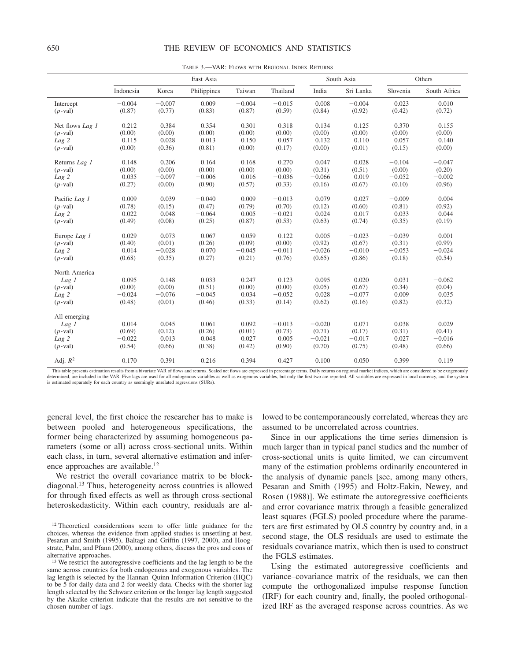|                                                                                                                                                                                                                                    |           |          | East Asia   |          |          |          | South Asia | Others   |              |  |
|------------------------------------------------------------------------------------------------------------------------------------------------------------------------------------------------------------------------------------|-----------|----------|-------------|----------|----------|----------|------------|----------|--------------|--|
|                                                                                                                                                                                                                                    | Indonesia | Korea    | Philippines | Taiwan   | Thailand | India    | Sri Lanka  | Slovenia | South Africa |  |
| Intercept                                                                                                                                                                                                                          | $-0.004$  | $-0.007$ | 0.009       | $-0.004$ | $-0.015$ | 0.008    | $-0.004$   | 0.023    | 0.010        |  |
| $(p$ -val)                                                                                                                                                                                                                         | (0.87)    | (0.77)   | (0.83)      | (0.87)   | (0.59)   | (0.84)   | (0.92)     | (0.42)   | (0.72)       |  |
| Net flows Lag 1                                                                                                                                                                                                                    | 0.212     | 0.384    | 0.354       | 0.301    | 0.318    | 0.134    | 0.125      | 0.370    | 0.155        |  |
| $(p$ -val)                                                                                                                                                                                                                         | (0.00)    | (0.00)   | (0.00)      | (0.00)   | (0.00)   | (0.00)   | (0.00)     | (0.00)   | (0.00)       |  |
| $Lag$ 2                                                                                                                                                                                                                            | 0.115     | 0.028    | 0.013       | 0.150    | 0.057    | 0.132    | 0.110      | 0.057    | 0.140        |  |
| $(p$ -val)                                                                                                                                                                                                                         | (0.00)    | (0.36)   | (0.81)      | (0.00)   | (0.17)   | (0.00)   | (0.01)     | (0.15)   | (0.00)       |  |
| Returns Lag 1                                                                                                                                                                                                                      | 0.148     | 0.206    | 0.164       | 0.168    | 0.270    | 0.047    | 0.028      | $-0.104$ | $-0.047$     |  |
| $(p$ -val)                                                                                                                                                                                                                         | (0.00)    | (0.00)   | (0.00)      | (0.00)   | (0.00)   | (0.31)   | (0.51)     | (0.00)   | (0.20)       |  |
| Lag 2                                                                                                                                                                                                                              | 0.035     | $-0.097$ | $-0.006$    | 0.016    | $-0.036$ | $-0.066$ | 0.019      | $-0.052$ | $-0.002$     |  |
| $(p$ -val)                                                                                                                                                                                                                         | (0.27)    | (0.00)   | (0.90)      | (0.57)   | (0.33)   | (0.16)   | (0.67)     | (0.10)   | (0.96)       |  |
| Pacific Lag 1                                                                                                                                                                                                                      | 0.009     | 0.039    | $-0.040$    | 0.009    | $-0.013$ | 0.079    | 0.027      | $-0.009$ | 0.004        |  |
| $(p$ -val)                                                                                                                                                                                                                         | (0.78)    | (0.15)   | (0.47)      | (0.79)   | (0.70)   | (0.12)   | (0.60)     | (0.81)   | (0.92)       |  |
| Lag 2                                                                                                                                                                                                                              | 0.022     | 0.048    | $-0.064$    | 0.005    | $-0.021$ | 0.024    | 0.017      | 0.033    | 0.044        |  |
| $(p$ -val)                                                                                                                                                                                                                         | (0.49)    | (0.08)   | (0.25)      | (0.87)   | (0.53)   | (0.63)   | (0.74)     | (0.35)   | (0.19)       |  |
| Europe Lag 1                                                                                                                                                                                                                       | 0.029     | 0.073    | 0.067       | 0.059    | 0.122    | 0.005    | $-0.023$   | $-0.039$ | 0.001        |  |
| $(p$ -val)                                                                                                                                                                                                                         | (0.40)    | (0.01)   | (0.26)      | (0.09)   | (0.00)   | (0.92)   | (0.67)     | (0.31)   | (0.99)       |  |
| Lag 2                                                                                                                                                                                                                              | 0.014     | $-0.028$ | 0.070       | $-0.045$ | $-0.011$ | $-0.026$ | $-0.010$   | $-0.053$ | $-0.024$     |  |
| $(p$ -val)                                                                                                                                                                                                                         | (0.68)    | (0.35)   | (0.27)      | (0.21)   | (0.76)   | (0.65)   | (0.86)     | (0.18)   | (0.54)       |  |
| North America                                                                                                                                                                                                                      |           |          |             |          |          |          |            |          |              |  |
| Lag 1                                                                                                                                                                                                                              | 0.095     | 0.148    | 0.033       | 0.247    | 0.123    | 0.095    | 0.020      | 0.031    | $-0.062$     |  |
| $(p$ -val)                                                                                                                                                                                                                         | (0.00)    | (0.00)   | (0.51)      | (0.00)   | (0.00)   | (0.05)   | (0.67)     | (0.34)   | (0.04)       |  |
| Lag 2                                                                                                                                                                                                                              | $-0.024$  | $-0.076$ | $-0.045$    | 0.034    | $-0.052$ | 0.028    | $-0.077$   | 0.009    | 0.035        |  |
| $(p$ -val)                                                                                                                                                                                                                         | (0.48)    | (0.01)   | (0.46)      | (0.33)   | (0.14)   | (0.62)   | (0.16)     | (0.82)   | (0.32)       |  |
| All emerging                                                                                                                                                                                                                       |           |          |             |          |          |          |            |          |              |  |
| $Lag$ 1                                                                                                                                                                                                                            | 0.014     | 0.045    | 0.061       | 0.092    | $-0.013$ | $-0.020$ | 0.071      | 0.038    | 0.029        |  |
| $(p$ -val)                                                                                                                                                                                                                         | (0.69)    | (0.12)   | (0.26)      | (0.01)   | (0.73)   | (0.71)   | (0.17)     | (0.31)   | (0.41)       |  |
| Lag 2                                                                                                                                                                                                                              | $-0.022$  | 0.013    | 0.048       | 0.027    | 0.005    | $-0.021$ | $-0.017$   | 0.027    | $-0.016$     |  |
| $(p$ -val)                                                                                                                                                                                                                         | (0.54)    | (0.66)   | (0.38)      | (0.42)   | (0.90)   | (0.70)   | (0.75)     | (0.48)   | (0.66)       |  |
| Adj. $R^2$<br>This toble procents estimation results from a hiverists VAR of flows and raturns. Social not flows are expressed in perceptions terms. Daily ratures on regional market indicas, which are considered to be expensed | 0.170     | 0.391    | 0.216       | 0.394    | 0.427    | 0.100    | 0.050      | 0.399    | 0.119        |  |

TABLE 3.—VAR: FLOWS WITH REGIONAL INDEX RETURNS

This table presents estimation results from a bivariate VAR of flows and returns. Scaled net flows are expressed in percentage terms. Daily returns on regional market indices, which are considered to be exogenously determi is estimated separately for each country as seemingly unrelated regressions (SURs).

general level, the first choice the researcher has to make is between pooled and heterogeneous specifications, the former being characterized by assuming homogeneous parameters (some or all) across cross-sectional units. Within each class, in turn, several alternative estimation and inference approaches are available.<sup>12</sup>

We restrict the overall covariance matrix to be blockdiagonal.13 Thus, heterogeneity across countries is allowed for through fixed effects as well as through cross-sectional heteroskedasticity. Within each country, residuals are al-

lowed to be contemporaneously correlated, whereas they are assumed to be uncorrelated across countries.

Since in our applications the time series dimension is much larger than in typical panel studies and the number of cross-sectional units is quite limited, we can circumvent many of the estimation problems ordinarily encountered in the analysis of dynamic panels [see, among many others, Pesaran and Smith (1995) and Holtz-Eakin, Newey, and Rosen (1988)]. We estimate the autoregressive coefficients and error covariance matrix through a feasible generalized least squares (FGLS) pooled procedure where the parameters are first estimated by OLS country by country and, in a second stage, the OLS residuals are used to estimate the residuals covariance matrix, which then is used to construct the FGLS estimates.

Using the estimated autoregressive coefficients and variance–covariance matrix of the residuals, we can then compute the orthogonalized impulse response function (IRF) for each country and, finally, the pooled orthogonalized IRF as the averaged response across countries. As we

<sup>&</sup>lt;sup>12</sup> Theoretical considerations seem to offer little guidance for the choices, whereas the evidence from applied studies is unsettling at best. Pesaran and Smith (1995), Baltagi and Griffin (1997, 2000), and Hoogstrate, Palm, and Pfann (2000), among others, discuss the pros and cons of alternative approaches.

<sup>&</sup>lt;sup>13</sup> We restrict the autoregressive coefficients and the lag length to be the same across countries for both endogenous and exogenous variables. The lag length is selected by the Hannan–Quinn Information Criterion (HQC) to be 5 for daily data and 2 for weekly data. Checks with the shorter lag length selected by the Schwarz criterion or the longer lag length suggested by the Akaike criterion indicate that the results are not sensitive to the chosen number of lags.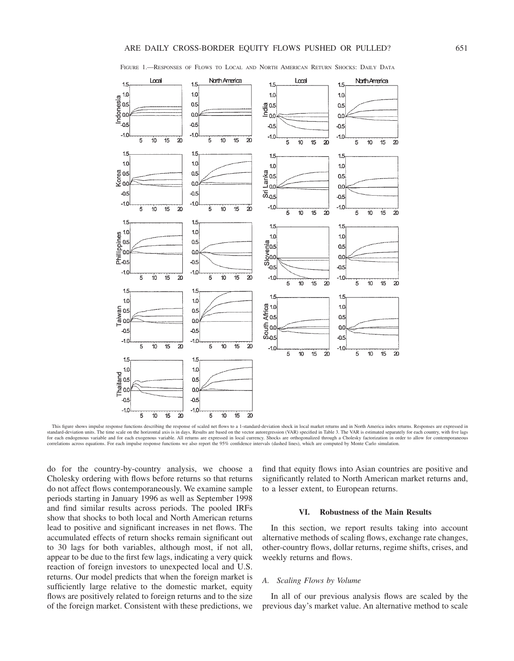

FIGURE 1.-RESPONSES OF FLOWS TO LOCAL AND NORTH AMERICAN RETURN SHOCKS: DAILY DATA

This figure shows impulse response functions describing the response of scaled net flows to a 1-standard-deviation shock in local market returns and in North America index returns. Responses are expressed in standard-deviation units. The time scale on the horizontal axis is in days. Results are based on the vector autoregression (VAR) specified in Table 3. The VAR is estimated separately for each country, with five lags for each endogenous variable and for each exogenous variable. All returns are expressed in local currency. Shocks are orthogonalized through a Cholesky factorization in order to allow for contemporaneous correlations across equations. For each impulse response functions we also report the 95% confidence intervals (dashed lines), which are computed by Monte Carlo simulation.

do for the country-by-country analysis, we choose a Cholesky ordering with flows before returns so that returns do not affect flows contemporaneously. We examine sample periods starting in January 1996 as well as September 1998 and find similar results across periods. The pooled IRFs show that shocks to both local and North American returns lead to positive and significant increases in net flows. The accumulated effects of return shocks remain significant out to 30 lags for both variables, although most, if not all, appear to be due to the first few lags, indicating a very quick reaction of foreign investors to unexpected local and U.S. returns. Our model predicts that when the foreign market is sufficiently large relative to the domestic market, equity flows are positively related to foreign returns and to the size of the foreign market. Consistent with these predictions, we find that equity flows into Asian countries are positive and significantly related to North American market returns and, to a lesser extent, to European returns.

# **VI. Robustness of the Main Results**

In this section, we report results taking into account alternative methods of scaling flows, exchange rate changes, other-country flows, dollar returns, regime shifts, crises, and weekly returns and flows.

#### *A. Scaling Flows by Volume*

In all of our previous analysis flows are scaled by the previous day's market value. An alternative method to scale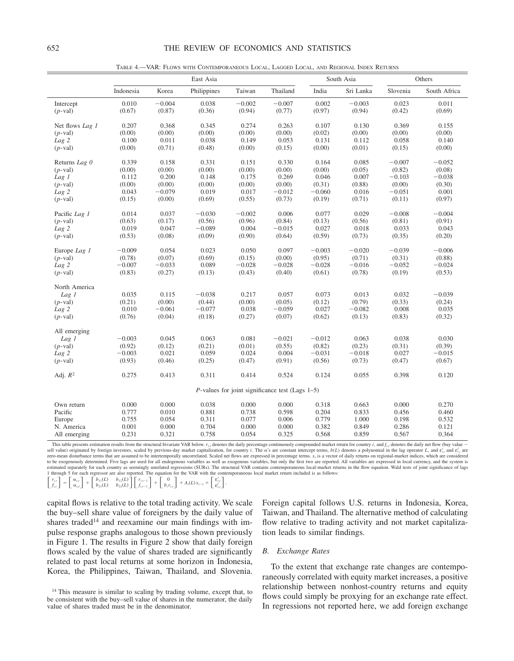|                 | East Asia |          |             |          |                                                            | South Asia |           | Others   |              |
|-----------------|-----------|----------|-------------|----------|------------------------------------------------------------|------------|-----------|----------|--------------|
|                 | Indonesia | Korea    | Philippines | Taiwan   | Thailand                                                   | India      | Sri Lanka | Slovenia | South Africa |
| Intercept       | 0.010     | $-0.004$ | 0.038       | $-0.002$ | $-0.007$                                                   | 0.002      | $-0.003$  | 0.023    | 0.011        |
| $(p$ -val)      | (0.67)    | (0.87)   | (0.36)      | (0.94)   | (0.77)                                                     | (0.97)     | (0.94)    | (0.42)   | (0.69)       |
| Net flows Lag 1 | 0.207     | 0.368    | 0.345       | 0.274    | 0.263                                                      | 0.107      | 0.130     | 0.369    | 0.155        |
| $(p$ -val)      | (0.00)    | (0.00)   | (0.00)      | (0.00)   | (0.00)                                                     | (0.02)     | (0.00)    | (0.00)   | (0.00)       |
| Lag 2           | 0.100     | 0.011    | 0.038       | 0.149    | 0.053                                                      | 0.131      | 0.112     | 0.058    | 0.140        |
| $(p$ -val)      | (0.00)    | (0.71)   | (0.48)      | (0.00)   | (0.15)                                                     | (0.00)     | (0.01)    | (0.15)   | (0.00)       |
| Returns Lag 0   | 0.339     | 0.158    | 0.331       | 0.151    | 0.330                                                      | 0.164      | 0.085     | $-0.007$ | $-0.052$     |
| $(p$ -val)      | (0.00)    | (0.00)   | (0.00)      | (0.00)   | (0.00)                                                     | (0.00)     | (0.05)    | (0.82)   | (0.08)       |
| $Lag$ 1         | 0.112     | 0.200    | 0.148       | 0.175    | 0.269                                                      | 0.046      | 0.007     | $-0.103$ | $-0.038$     |
| $(p$ -val)      | (0.00)    | (0.00)   | (0.00)      | (0.00)   | (0.00)                                                     | (0.31)     | (0.88)    | (0.00)   | (0.30)       |
| Lag 2           | 0.043     | $-0.079$ | 0.019       | 0.017    | $-0.012$                                                   | $-0.060$   | 0.016     | $-0.051$ | 0.001        |
| $(p$ -val)      | (0.15)    | (0.00)   | (0.69)      | (0.55)   | (0.73)                                                     | (0.19)     | (0.71)    | (0.11)   | (0.97)       |
| Pacific Lag 1   | 0.014     | 0.037    | $-0.030$    | $-0.002$ | 0.006                                                      | 0.077      | 0.029     | $-0.008$ | $-0.004$     |
| $(p$ -val)      | (0.63)    | (0.17)   | (0.56)      | (0.96)   | (0.84)                                                     | (0.13)     | (0.56)    | (0.81)   | (0.91)       |
| Lag 2           | 0.019     | 0.047    | $-0.089$    | 0.004    | $-0.015$                                                   | 0.027      | 0.018     | 0.033    | 0.043        |
| $(p$ -val)      | (0.53)    | (0.08)   | (0.09)      | (0.90)   | (0.64)                                                     | (0.59)     | (0.73)    | (0.35)   | (0.20)       |
| Europe Lag 1    | $-0.009$  | 0.054    | 0.023       | 0.050    | 0.097                                                      | $-0.003$   | $-0.020$  | $-0.039$ | $-0.006$     |
| $(p$ -val $)$   | (0.78)    | (0.07)   | (0.69)      | (0.15)   | (0.00)                                                     | (0.95)     | (0.71)    | (0.31)   | (0.88)       |
| Lag 2           | $-0.007$  | $-0.033$ | 0.089       | $-0.028$ | $-0.028$                                                   | $-0.028$   | $-0.016$  | $-0.052$ | $-0.024$     |
| $(p$ -val)      | (0.83)    | (0.27)   | (0.13)      | (0.43)   | (0.40)                                                     | (0.61)     | (0.78)    | (0.19)   | (0.53)       |
| North America   |           |          |             |          |                                                            |            |           |          |              |
| $Lag$ 1         | 0.035     | 0.115    | $-0.038$    | 0.217    | 0.057                                                      | 0.073      | 0.013     | 0.032    | $-0.039$     |
| $(p$ -val)      | (0.21)    | (0.00)   | (0.44)      | (0.00)   | (0.05)                                                     | (0.12)     | (0.79)    | (0.33)   | (0.24)       |
| Lag 2           | 0.010     | $-0.061$ | $-0.077$    | 0.038    | $-0.059$                                                   | 0.027      | $-0.082$  | 0.008    | 0.035        |
| $(p$ -val)      | (0.76)    | (0.04)   | (0.18)      | (0.27)   | (0.07)                                                     | (0.62)     | (0.13)    | (0.83)   | (0.32)       |
| All emerging    |           |          |             |          |                                                            |            |           |          |              |
| Lag 1           | $-0.003$  | 0.045    | 0.063       | 0.081    | $-0.021$                                                   | $-0.012$   | 0.063     | 0.038    | 0.030        |
| $(p$ -val)      | (0.92)    | (0.12)   | (0.21)      | (0.01)   | (0.55)                                                     | (0.82)     | (0.23)    | (0.31)   | (0.39)       |
| Lag 2           | $-0.003$  | 0.021    | 0.059       | 0.024    | 0.004                                                      | $-0.031$   | $-0.018$  | 0.027    | $-0.015$     |
| $(p$ -val)      | (0.93)    | (0.46)   | (0.25)      | (0.47)   | (0.91)                                                     | (0.56)     | (0.73)    | (0.47)   | (0.67)       |
| Adj. $R^2$      | 0.275     | 0.413    | 0.311       | 0.414    | 0.524                                                      | 0.124      | 0.055     | 0.398    | 0.120        |
|                 |           |          |             |          | <i>P</i> -values for joint significance test (Lags $1-5$ ) |            |           |          |              |
| Own return      | 0.000     | 0.000    | 0.038       | 0.000    | 0.000                                                      | 0.318      | 0.663     | 0.000    | 0.270        |
| Pacific         | 0.777     | 0.010    | 0.881       | 0.738    | 0.598                                                      | 0.204      | 0.833     | 0.456    | 0.460        |
| Europe          | 0.755     | 0.054    | 0.311       | 0.077    | 0.006                                                      | 0.779      | 1.000     | 0.198    | 0.532        |
| N. America      | 0.001     | 0.000    | 0.704       | 0.000    | 0.000                                                      | 0.382      | 0.849     | 0.286    | 0.121        |
| All emerging    | 0.231     | 0.321    | 0.758       | 0.054    | 0.325                                                      | 0.568      | 0.859     | 0.567    | 0.364        |

TABLE 4.—VAR: FLOWS WITH CONTEMPORANEOUS LOCAL, LAGGED LOCAL, AND REGIONAL INDEX RETURNS

This table presents estimation results from the structural bivariate VAR below.  $r_{i,t}$  denotes the daily percentage continuously compounded market return for country *i*, and  $f_{i,t}$  denotes the daily net flow (buy value zero-mean disturbance terms that are assumed to be intertemporally uncorrelated. Scaled net flows are expressed in percentage terms. *x<sub>t</sub>* is a vector of daily returns on regional-market indices, which are considered to be exogenously determined. Five lags are used for all endogenous variables as well as exogenous variables, but only the first two are reported. All variables are expressed in local currency, and the system is<br>estimated

#### 1 through 5 for each regressor are also reported. The equation for the VAR with the contemporaneous local market return included is as follows:<br>  $\begin{bmatrix} r_{i,t} \\ f_{i,t} \end{bmatrix} = \begin{bmatrix} \alpha_{i,t} \\ \alpha_{i,j} \end{bmatrix} + \begin{bmatrix} b_{11}(L) & b_{12}(L) \\ b_{2$ *ri*,*t fi*,*t* ough 5 for each regressor are also reported. The equation for the VAR with the co<br>  $\begin{bmatrix} \n\alpha_{i,r} \\ \n\alpha_{i,f} \n\end{bmatrix} + \begin{bmatrix} b_{11}(L) & b_{12}(L) \\ b_{21}(L) & b_{22}(L) \n\end{bmatrix} \begin{bmatrix} r_{i,r-1} \\ \n\alpha_{i,r-1} \n\end{bmatrix} + \begin{bmatrix} 0 \\ b_r r_{i,r} \n\end{bmatrix} + A_i$  $\epsilon_{i,t}^r$   $\epsilon_{i,t}^f$   $\cdot$

capital flows is relative to the total trading activity. We scale the buy–sell share value of foreigners by the daily value of shares traded<sup>14</sup> and reexamine our main findings with impulse response graphs analogous to those shown previously in Figure 1. The results in Figure 2 show that daily foreign flows scaled by the value of shares traded are significantly related to past local returns at some horizon in Indonesia, Korea, the Philippines, Taiwan, Thailand, and Slovenia.

<sup>14</sup> This measure is similar to scaling by trading volume, except that, to be consistent with the buy–sell value of shares in the numerator, the daily value of shares traded must be in the denominator.

Foreign capital follows U.S. returns in Indonesia, Korea, Taiwan, and Thailand. The alternative method of calculating flow relative to trading activity and not market capitalization leads to similar findings.

# *B. Exchange Rates*

To the extent that exchange rate changes are contemporaneously correlated with equity market increases, a positive relationship between nonhost-country returns and equity flows could simply be proxying for an exchange rate effect. In regressions not reported here, we add foreign exchange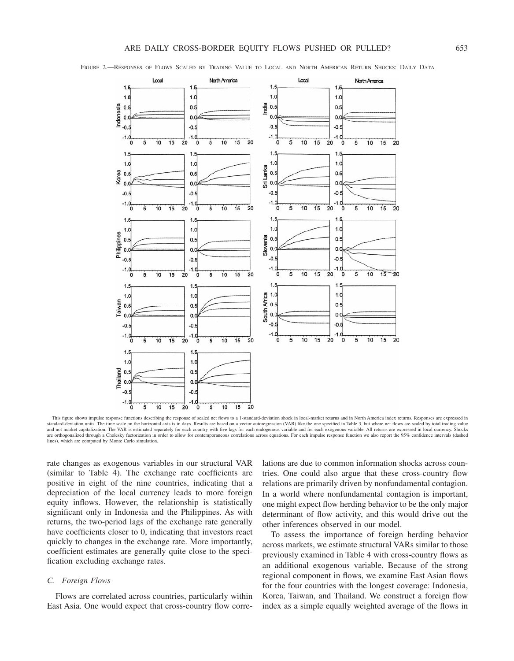

FIGURE 2.—RESPONSES OF FLOWS SCALED BY TRADING VALUE TO LOCAL AND NORTH AMERICAN RETURN SHOCKS: DAILY DATA

This figure shows impulse response functions describing the response of scaled net flows to a 1-standard-deviation shock in local-market returns and in North America index returns. Responses are expressed in standard-deviation units. The time scale on the horizontal axis is in days. Results are based on a vector autoregression (VAR) like the one specified in Table 3, but where net flows are scaled by total trading value and not market capitalization. The VAR is estimated separately for each country with five lags for each endogenous variable and for each exogenous variable. All returns are expressed in local currency. Shocks are orthogonalized through a Cholesky factorization in order to allow for contemporaneous correlations across equations. For each impulse response function we also report the 95% confidence intervals (dashed lines), which are computed by Monte Carlo simulation.

rate changes as exogenous variables in our structural VAR (similar to Table 4). The exchange rate coefficients are positive in eight of the nine countries, indicating that a depreciation of the local currency leads to more foreign equity inflows. However, the relationship is statistically significant only in Indonesia and the Philippines. As with returns, the two-period lags of the exchange rate generally have coefficients closer to 0, indicating that investors react quickly to changes in the exchange rate. More importantly, coefficient estimates are generally quite close to the specification excluding exchange rates.

# *C. Foreign Flows*

Flows are correlated across countries, particularly within East Asia. One would expect that cross-country flow correlations are due to common information shocks across countries. One could also argue that these cross-country flow relations are primarily driven by nonfundamental contagion. In a world where nonfundamental contagion is important, one might expect flow herding behavior to be the only major determinant of flow activity, and this would drive out the other inferences observed in our model.

To assess the importance of foreign herding behavior across markets, we estimate structural VARs similar to those previously examined in Table 4 with cross-country flows as an additional exogenous variable. Because of the strong regional component in flows, we examine East Asian flows for the four countries with the longest coverage: Indonesia, Korea, Taiwan, and Thailand. We construct a foreign flow index as a simple equally weighted average of the flows in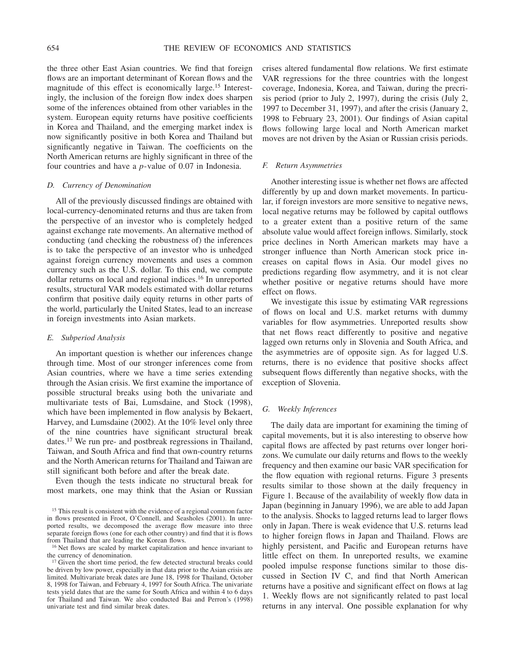the three other East Asian countries. We find that foreign flows are an important determinant of Korean flows and the magnitude of this effect is economically large.15 Interestingly, the inclusion of the foreign flow index does sharpen some of the inferences obtained from other variables in the system. European equity returns have positive coefficients in Korea and Thailand, and the emerging market index is now significantly positive in both Korea and Thailand but significantly negative in Taiwan. The coefficients on the North American returns are highly significant in three of the four countries and have a *p*-value of 0.07 in Indonesia.

# *D. Currency of Denomination*

All of the previously discussed findings are obtained with local-currency-denominated returns and thus are taken from the perspective of an investor who is completely hedged against exchange rate movements. An alternative method of conducting (and checking the robustness of) the inferences is to take the perspective of an investor who is unhedged against foreign currency movements and uses a common currency such as the U.S. dollar. To this end, we compute dollar returns on local and regional indices.16 In unreported results, structural VAR models estimated with dollar returns confirm that positive daily equity returns in other parts of the world, particularly the United States, lead to an increase in foreign investments into Asian markets.

# *E. Subperiod Analysis*

An important question is whether our inferences change through time. Most of our stronger inferences come from Asian countries, where we have a time series extending through the Asian crisis. We first examine the importance of possible structural breaks using both the univariate and multivariate tests of Bai, Lumsdaine, and Stock (1998), which have been implemented in flow analysis by Bekaert, Harvey, and Lumsdaine (2002). At the 10% level only three of the nine countries have significant structural break dates.17 We run pre- and postbreak regressions in Thailand, Taiwan, and South Africa and find that own-country returns and the North American returns for Thailand and Taiwan are still significant both before and after the break date.

Even though the tests indicate no structural break for most markets, one may think that the Asian or Russian crises altered fundamental flow relations. We first estimate VAR regressions for the three countries with the longest coverage, Indonesia, Korea, and Taiwan, during the precrisis period (prior to July 2, 1997), during the crisis (July 2, 1997 to December 31, 1997), and after the crisis (January 2, 1998 to February 23, 2001). Our findings of Asian capital flows following large local and North American market moves are not driven by the Asian or Russian crisis periods.

# *F. Return Asymmetries*

Another interesting issue is whether net flows are affected differently by up and down market movements. In particular, if foreign investors are more sensitive to negative news, local negative returns may be followed by capital outflows to a greater extent than a positive return of the same absolute value would affect foreign inflows. Similarly, stock price declines in North American markets may have a stronger influence than North American stock price increases on capital flows in Asia. Our model gives no predictions regarding flow asymmetry, and it is not clear whether positive or negative returns should have more effect on flows.

We investigate this issue by estimating VAR regressions of flows on local and U.S. market returns with dummy variables for flow asymmetries. Unreported results show that net flows react differently to positive and negative lagged own returns only in Slovenia and South Africa, and the asymmetries are of opposite sign. As for lagged U.S. returns, there is no evidence that positive shocks affect subsequent flows differently than negative shocks, with the exception of Slovenia.

# *G. Weekly Inferences*

The daily data are important for examining the timing of capital movements, but it is also interesting to observe how capital flows are affected by past returns over longer horizons. We cumulate our daily returns and flows to the weekly frequency and then examine our basic VAR specification for the flow equation with regional returns. Figure 3 presents results similar to those shown at the daily frequency in Figure 1. Because of the availability of weekly flow data in Japan (beginning in January 1996), we are able to add Japan to the analysis. Shocks to lagged returns lead to larger flows only in Japan. There is weak evidence that U.S. returns lead to higher foreign flows in Japan and Thailand. Flows are highly persistent, and Pacific and European returns have little effect on them. In unreported results, we examine pooled impulse response functions similar to those discussed in Section IV C, and find that North American returns have a positive and significant effect on flows at lag 1. Weekly flows are not significantly related to past local returns in any interval. One possible explanation for why

<sup>&</sup>lt;sup>15</sup> This result is consistent with the evidence of a regional common factor in flows presented in Froot, O'Connell, and Seasholes (2001). In unreported results, we decomposed the average flow measure into three separate foreign flows (one for each other country) and find that it is flows from Thailand that are leading the Korean flows.

<sup>&</sup>lt;sup>16</sup> Net flows are scaled by market capitalization and hence invariant to the currency of denomination.

<sup>&</sup>lt;sup>17</sup> Given the short time period, the few detected structural breaks could be driven by low power, especially in that data prior to the Asian crisis are limited. Multivariate break dates are June 18, 1998 for Thailand, October 8, 1998 for Taiwan, and February 4, 1997 for South Africa. The univariate tests yield dates that are the same for South Africa and within 4 to 6 days for Thailand and Taiwan. We also conducted Bai and Perron's (1998) univariate test and find similar break dates.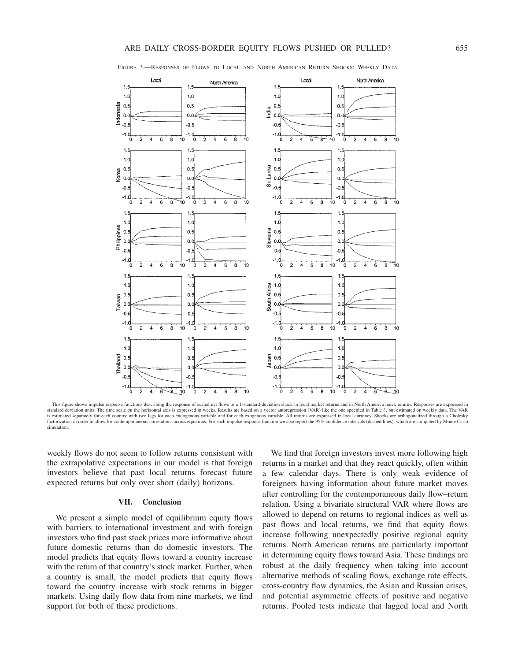

FIGURE 3.—RESPONSES OF FLOWS TO LOCAL AND NORTH AMERICAN RETURN SHOCKS: WEEKLY DATA

This figure shows impulse response functions describing the response of scaled net flows to a 1-standard-deviation shock in local market returns and in North America index returns. Responses are expressed in standard deviation units. The time scale on the horizontal axis is expressed in weeks. Results are based on a vector autoregression (VAR) like the one specified in Table 3, but estimated on weekly data. The VAR is estimated separately for each country with two lags for each endogenous variable and for each exogenous variable. All returns are expressed in local currency. Shocks are orthogonalized through a Cholesky factorization in order to allow for contemporaneous correlations across equations. For each impulse response function we also report the 95% confidence intervals (dashed lines), which are computed by Monte Carlo simulation.

weekly flows do not seem to follow returns consistent with the extrapolative expectations in our model is that foreign investors believe that past local returns forecast future expected returns but only over short (daily) horizons.

# **VII. Conclusion**

We present a simple model of equilibrium equity flows with barriers to international investment and with foreign investors who find past stock prices more informative about future domestic returns than do domestic investors. The model predicts that equity flows toward a country increase with the return of that country's stock market. Further, when a country is small, the model predicts that equity flows toward the country increase with stock returns in bigger markets. Using daily flow data from nine markets, we find support for both of these predictions.

We find that foreign investors invest more following high returns in a market and that they react quickly, often within a few calendar days. There is only weak evidence of foreigners having information about future market moves after controlling for the contemporaneous daily flow–return relation. Using a bivariate structural VAR where flows are allowed to depend on returns to regional indices as well as past flows and local returns, we find that equity flows increase following unexpectedly positive regional equity returns. North American returns are particularly important in determining equity flows toward Asia. These findings are robust at the daily frequency when taking into account alternative methods of scaling flows, exchange rate effects, cross-country flow dynamics, the Asian and Russian crises, and potential asymmetric effects of positive and negative returns. Pooled tests indicate that lagged local and North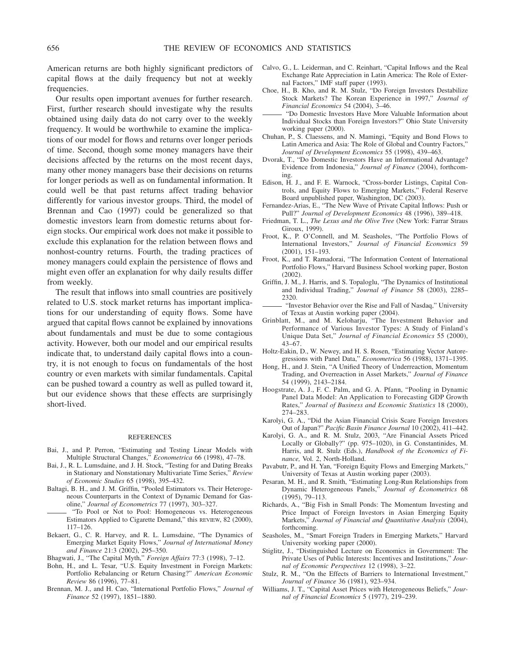American returns are both highly significant predictors of capital flows at the daily frequency but not at weekly frequencies.

Our results open important avenues for further research. First, further research should investigate why the results obtained using daily data do not carry over to the weekly frequency. It would be worthwhile to examine the implications of our model for flows and returns over longer periods of time. Second, though some money managers have their decisions affected by the returns on the most recent days, many other money managers base their decisions on returns for longer periods as well as on fundamental information. It could well be that past returns affect trading behavior differently for various investor groups. Third, the model of Brennan and Cao (1997) could be generalized so that domestic investors learn from domestic returns about foreign stocks. Our empirical work does not make it possible to exclude this explanation for the relation between flows and nonhost-country returns. Fourth, the trading practices of money managers could explain the persistence of flows and might even offer an explanation for why daily results differ from weekly.

The result that inflows into small countries are positively related to U.S. stock market returns has important implications for our understanding of equity flows. Some have argued that capital flows cannot be explained by innovations about fundamentals and must be due to some contagious activity. However, both our model and our empirical results indicate that, to understand daily capital flows into a country, it is not enough to focus on fundamentals of the host country or even markets with similar fundamentals. Capital can be pushed toward a country as well as pulled toward it, but our evidence shows that these effects are surprisingly short-lived.

# **REFERENCES**

- Bai, J., and P. Perron, "Estimating and Testing Linear Models with Multiple Structural Changes," *Econometrica* 66 (1998), 47–78.
- Bai, J., R. L. Lumsdaine, and J. H. Stock, "Testing for and Dating Breaks in Stationary and Nonstationary Multivariate Time Series," *Review of Economic Studies* 65 (1998), 395–432.
- Baltagi, B. H., and J. M. Griffin, "Pooled Estimators vs. Their Heterogeneous Counterparts in the Context of Dynamic Demand for Gasoline," *Journal of Econometrics* 77 (1997), 303–327.
- "To Pool or Not to Pool: Homogeneous vs. Heterogeneous Estimators Applied to Cigarette Demand," this REVIEW, 82 (2000), 117–126.
- Bekaert, G., C. R. Harvey, and R. L. Lumsdaine, "The Dynamics of Emerging Market Equity Flows," *Journal of International Money and Finance* 21:3 (2002), 295–350.

Bhagwati, J., "The Capital Myth," *Foreign Affairs* 77:3 (1998), 7–12.

- Bohn, H., and L. Tesar, "U.S. Equity Investment in Foreign Markets: Portfolio Rebalancing or Return Chasing?" *American Economic Review* 86 (1996), 77–81.
- Brennan, M. J., and H. Cao, "International Portfolio Flows," *Journal of Finance* 52 (1997), 1851–1880.
- Calvo, G., L. Leiderman, and C. Reinhart, "Capital Inflows and the Real Exchange Rate Appreciation in Latin America: The Role of External Factors," IMF staff paper (1993).
- Choe, H., B. Kho, and R. M. Stulz, "Do Foreign Investors Destabilize Stock Markets? The Korean Experience in 1997," *Journal of Financial Economics* 54 (2004), 3–46.
- "Do Domestic Investors Have More Valuable Information about Individual Stocks than Foreign Investors?" Ohio State University working paper (2000).
- Chuhan, P., S. Claessens, and N. Mamingi, "Equity and Bond Flows to Latin America and Asia: The Role of Global and Country Factors," *Journal of Development Economics* 55 (1998), 439–463.
- Dvorak, T., "Do Domestic Investors Have an Informational Advantage? Evidence from Indonesia," *Journal of Finance* (2004), forthcoming.
- Edison, H. J., and F. E. Warnock, "Cross-border Listings, Capital Controls, and Equity Flows to Emerging Markets," Federal Reserve Board unpublished paper, Washington, DC (2003).
- Fernandez-Arias, E., "The New Wave of Private Capital Inflows: Push or Pull?" *Journal of Development Economics* 48 (1996), 389–418.
- Friedman, T. L., *The Lexus and the Olive Tree* (New York: Farrar Straus Giroux, 1999).
- Froot, K., P. O'Connell, and M. Seasholes, "The Portfolio Flows of International Investors," *Journal of Financial Economics* 59 (2001), 151–193.
- Froot, K., and T. Ramadorai, "The Information Content of International Portfolio Flows," Harvard Business School working paper, Boston (2002).
- Griffin, J. M., J. Harris, and S. Topaloglu, "The Dynamics of Institutional and Individual Trading," *Journal of Finance* 58 (2003), 2285– 2320.
- "Investor Behavior over the Rise and Fall of Nasdaq," University of Texas at Austin working paper (2004).
- Grinblatt, M., and M. Keloharju, "The Investment Behavior and Performance of Various Investor Types: A Study of Finland's Unique Data Set," *Journal of Financial Economics* 55 (2000), 43–67.
- Holtz-Eakin, D., W. Newey, and H. S. Rosen, "Estimating Vector Autoregressions with Panel Data," *Econometrica* 56 (1988), 1371–1395.
- Hong, H., and J. Stein, "A Unified Theory of Underreaction, Momentum Trading, and Overreaction in Asset Markets," *Journal of Finance* 54 (1999), 2143–2184.
- Hoogstrate, A. J., F. C. Palm, and G. A. Pfann, "Pooling in Dynamic Panel Data Model: An Application to Forecasting GDP Growth Rates," *Journal of Business and Economic Statistics* 18 (2000), 274–283.
- Karolyi, G. A., "Did the Asian Financial Crisis Scare Foreign Investors Out of Japan?" *Pacific Basin Finance Journal* 10 (2002), 411–442.
- Karolyi, G. A., and R. M. Stulz, 2003, "Are Financial Assets Priced Locally or Globally?" (pp. 975–1020), in G. Constantinides, M. Harris, and R. Stulz (Eds.), *Handbook of the Economics of Finance,* Vol. 2, North-Holland.
- Pavabutr, P., and H. Yan, "Foreign Equity Flows and Emerging Markets," University of Texas at Austin working paper (2003).
- Pesaran, M. H., and R. Smith, "Estimating Long-Run Relationships from Dynamic Heterogeneous Panels," *Journal of Econometrics* 68 (1995), 79–113.
- Richards, A., "Big Fish in Small Ponds: The Momentum Investing and Price Impact of Foreign Investors in Asian Emerging Equity Markets," *Journal of Financial and Quantitative Analysis* (2004), forthcoming.
- Seasholes, M., "Smart Foreign Traders in Emerging Markets," Harvard University working paper (2000).
- Stiglitz, J., "Distinguished Lecture on Economics in Government: The Private Uses of Public Interests: Incentives and Institutions," *Journal of Economic Perspectives* 12 (1998), 3–22.
- Stulz, R. M., "On the Effects of Barriers to International Investment," *Journal of Finance* 36 (1981), 923–934.
- Williams, J. T., "Capital Asset Prices with Heterogeneous Beliefs," *Journal of Financial Economics* 5 (1977), 219–239.